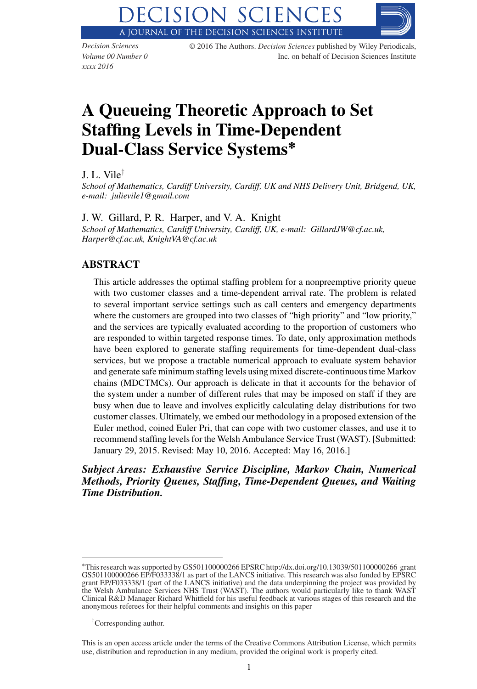ECISION SCIENCES A JOURNAL OF THE DECISION SCIENCES INSTITUTE

*Decision Sciences Volume 00 Number 0 xxxx 2016*

© 2016 The Authors. *Decision Sciences* published by Wiley Periodicals, Inc. on behalf of Decision Sciences Institute

# **A Queueing Theoretic Approach to Set Staffing Levels in Time-Dependent Dual-Class Service Systems∗**

J. L. Vile*†*

*School of Mathematics, Cardiff University, Cardiff, UK and NHS Delivery Unit, Bridgend, UK, e-mail: julievile1@gmail.com*

## J. W. Gillard, P. R. Harper, and V. A. Knight

*School of Mathematics, Cardiff University, Cardiff, UK, e-mail: GillardJW@cf.ac.uk, Harper@cf.ac.uk, KnightVA@cf.ac.uk*

# **ABSTRACT**

This article addresses the optimal staffing problem for a nonpreemptive priority queue with two customer classes and a time-dependent arrival rate. The problem is related to several important service settings such as call centers and emergency departments where the customers are grouped into two classes of "high priority" and "low priority," and the services are typically evaluated according to the proportion of customers who are responded to within targeted response times. To date, only approximation methods have been explored to generate staffing requirements for time-dependent dual-class services, but we propose a tractable numerical approach to evaluate system behavior and generate safe minimum staffing levels using mixed discrete-continuous time Markov chains (MDCTMCs). Our approach is delicate in that it accounts for the behavior of the system under a number of different rules that may be imposed on staff if they are busy when due to leave and involves explicitly calculating delay distributions for two customer classes. Ultimately, we embed our methodology in a proposed extension of the Euler method, coined Euler Pri, that can cope with two customer classes, and use it to recommend staffing levels for the Welsh Ambulance Service Trust (WAST). [Submitted: January 29, 2015. Revised: May 10, 2016. Accepted: May 16, 2016.]

*Subject Areas: Exhaustive Service Discipline, Markov Chain, Numerical Methods, Priority Queues, Staffing, Time-Dependent Queues, and Waiting Time Distribution.*

<sup>∗</sup>This research was supported by GS501100000266 EPSRC http://dx.doi.org/10.13039/501100000266 grant GS501100000266 EP/F033338/1 as part of the LANCS initiative. This research was also funded by EPSRC grant EP/F033338/1 (part of the LANCS initiative) and the data underpinning the project was provided by the Welsh Ambulance Services NHS Trust (WAST). The authors would particularly like to thank WAST Clinical R&D Manager Richard Whitfield for his useful feedback at various stages of this research and the anonymous referees for their helpful comments and insights on this paper

*<sup>†</sup>*Corresponding author.

This is an open access article under the terms of the Creative Commons Attribution License, which permits use, distribution and reproduction in any medium, provided the original work is properly cited.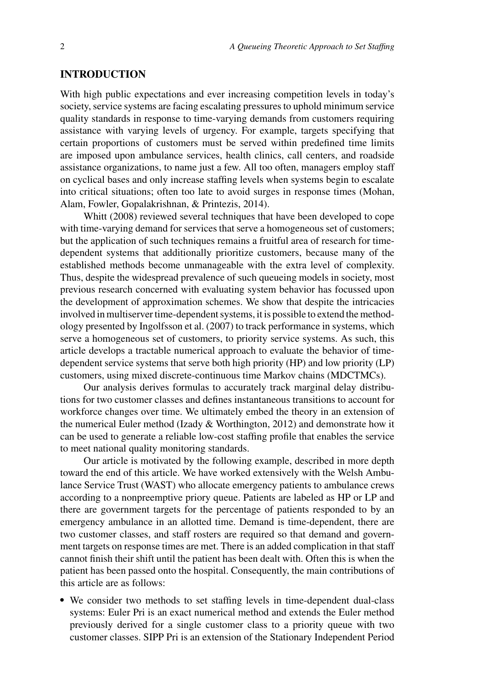# **INTRODUCTION**

With high public expectations and ever increasing competition levels in today's society, service systems are facing escalating pressures to uphold minimum service quality standards in response to time-varying demands from customers requiring assistance with varying levels of urgency. For example, targets specifying that certain proportions of customers must be served within predefined time limits are imposed upon ambulance services, health clinics, call centers, and roadside assistance organizations, to name just a few. All too often, managers employ staff on cyclical bases and only increase staffing levels when systems begin to escalate into critical situations; often too late to avoid surges in response times (Mohan, Alam, Fowler, Gopalakrishnan, & Printezis, 2014).

Whitt (2008) reviewed several techniques that have been developed to cope with time-varying demand for services that serve a homogeneous set of customers; but the application of such techniques remains a fruitful area of research for timedependent systems that additionally prioritize customers, because many of the established methods become unmanageable with the extra level of complexity. Thus, despite the widespread prevalence of such queueing models in society, most previous research concerned with evaluating system behavior has focussed upon the development of approximation schemes. We show that despite the intricacies involved in multiserver time-dependent systems, it is possible to extend the methodology presented by Ingolfsson et al. (2007) to track performance in systems, which serve a homogeneous set of customers, to priority service systems. As such, this article develops a tractable numerical approach to evaluate the behavior of timedependent service systems that serve both high priority (HP) and low priority (LP) customers, using mixed discrete-continuous time Markov chains (MDCTMCs).

Our analysis derives formulas to accurately track marginal delay distributions for two customer classes and defines instantaneous transitions to account for workforce changes over time. We ultimately embed the theory in an extension of the numerical Euler method (Izady  $&$  Worthington, 2012) and demonstrate how it can be used to generate a reliable low-cost staffing profile that enables the service to meet national quality monitoring standards.

Our article is motivated by the following example, described in more depth toward the end of this article. We have worked extensively with the Welsh Ambulance Service Trust (WAST) who allocate emergency patients to ambulance crews according to a nonpreemptive priory queue. Patients are labeled as HP or LP and there are government targets for the percentage of patients responded to by an emergency ambulance in an allotted time. Demand is time-dependent, there are two customer classes, and staff rosters are required so that demand and government targets on response times are met. There is an added complication in that staff cannot finish their shift until the patient has been dealt with. Often this is when the patient has been passed onto the hospital. Consequently, the main contributions of this article are as follows:

- We consider two methods to set staffing levels in time-dependent dual-class systems: Euler Pri is an exact numerical method and extends the Euler method previously derived for a single customer class to a priority queue with two customer classes. SIPP Pri is an extension of the Stationary Independent Period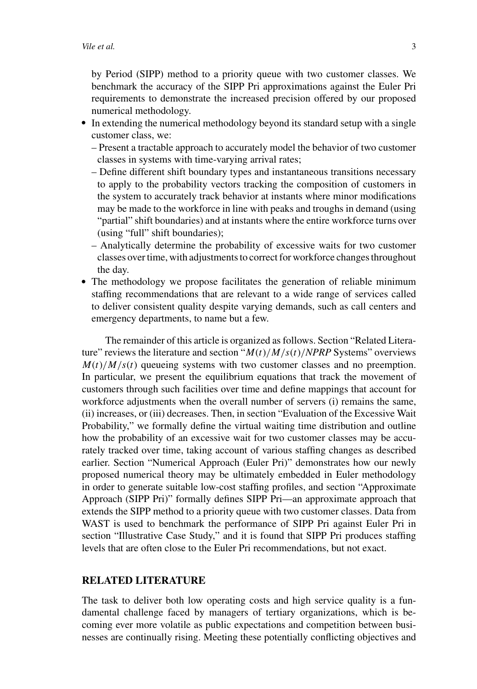by Period (SIPP) method to a priority queue with two customer classes. We benchmark the accuracy of the SIPP Pri approximations against the Euler Pri requirements to demonstrate the increased precision offered by our proposed numerical methodology.

- In extending the numerical methodology beyond its standard setup with a single customer class, we:
	- Present a tractable approach to accurately model the behavior of two customer classes in systems with time-varying arrival rates;
	- Define different shift boundary types and instantaneous transitions necessary to apply to the probability vectors tracking the composition of customers in the system to accurately track behavior at instants where minor modifications may be made to the workforce in line with peaks and troughs in demand (using "partial" shift boundaries) and at instants where the entire workforce turns over (using "full" shift boundaries);
	- Analytically determine the probability of excessive waits for two customer classes over time, with adjustments to correct for workforce changes throughout the day.
- The methodology we propose facilitates the generation of reliable minimum staffing recommendations that are relevant to a wide range of services called to deliver consistent quality despite varying demands, such as call centers and emergency departments, to name but a few.

The remainder of this article is organized as follows. Section "Related Literature" reviews the literature and section " $M(t)/M/s(t)/NPRP$  Systems" overviews  $M(t)/M/s(t)$  queueing systems with two customer classes and no preemption. In particular, we present the equilibrium equations that track the movement of customers through such facilities over time and define mappings that account for workforce adjustments when the overall number of servers (i) remains the same, (ii) increases, or (iii) decreases. Then, in section "Evaluation of the Excessive Wait Probability," we formally define the virtual waiting time distribution and outline how the probability of an excessive wait for two customer classes may be accurately tracked over time, taking account of various staffing changes as described earlier. Section "Numerical Approach (Euler Pri)" demonstrates how our newly proposed numerical theory may be ultimately embedded in Euler methodology in order to generate suitable low-cost staffing profiles, and section "Approximate Approach (SIPP Pri)" formally defines SIPP Pri—an approximate approach that extends the SIPP method to a priority queue with two customer classes. Data from WAST is used to benchmark the performance of SIPP Pri against Euler Pri in section "Illustrative Case Study," and it is found that SIPP Pri produces staffing levels that are often close to the Euler Pri recommendations, but not exact.

# **RELATED LITERATURE**

The task to deliver both low operating costs and high service quality is a fundamental challenge faced by managers of tertiary organizations, which is becoming ever more volatile as public expectations and competition between businesses are continually rising. Meeting these potentially conflicting objectives and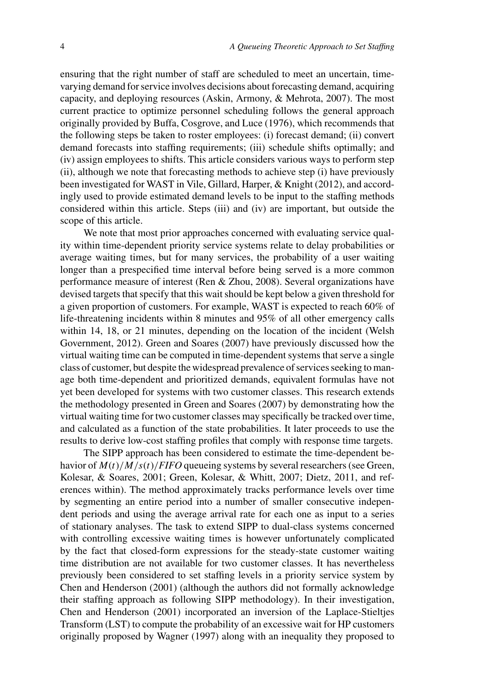ensuring that the right number of staff are scheduled to meet an uncertain, timevarying demand for service involves decisions about forecasting demand, acquiring capacity, and deploying resources (Askin, Armony, & Mehrota, 2007). The most current practice to optimize personnel scheduling follows the general approach originally provided by Buffa, Cosgrove, and Luce (1976), which recommends that the following steps be taken to roster employees: (i) forecast demand; (ii) convert demand forecasts into staffing requirements; (iii) schedule shifts optimally; and (iv) assign employees to shifts. This article considers various ways to perform step (ii), although we note that forecasting methods to achieve step (i) have previously been investigated for WAST in Vile, Gillard, Harper, & Knight (2012), and accordingly used to provide estimated demand levels to be input to the staffing methods considered within this article. Steps (iii) and (iv) are important, but outside the scope of this article.

We note that most prior approaches concerned with evaluating service quality within time-dependent priority service systems relate to delay probabilities or average waiting times, but for many services, the probability of a user waiting longer than a prespecified time interval before being served is a more common performance measure of interest (Ren & Zhou, 2008). Several organizations have devised targets that specify that this wait should be kept below a given threshold for a given proportion of customers. For example, WAST is expected to reach 60% of life-threatening incidents within 8 minutes and 95% of all other emergency calls within 14, 18, or 21 minutes, depending on the location of the incident (Welsh Government, 2012). Green and Soares (2007) have previously discussed how the virtual waiting time can be computed in time-dependent systems that serve a single class of customer, but despite the widespread prevalence of services seeking to manage both time-dependent and prioritized demands, equivalent formulas have not yet been developed for systems with two customer classes. This research extends the methodology presented in Green and Soares (2007) by demonstrating how the virtual waiting time for two customer classes may specifically be tracked over time, and calculated as a function of the state probabilities. It later proceeds to use the results to derive low-cost staffing profiles that comply with response time targets.

The SIPP approach has been considered to estimate the time-dependent behavior of *M*(*t*)*/M/s*(*t*)*/FIFO* queueing systems by several researchers (see Green, Kolesar, & Soares, 2001; Green, Kolesar, & Whitt, 2007; Dietz, 2011, and references within). The method approximately tracks performance levels over time by segmenting an entire period into a number of smaller consecutive independent periods and using the average arrival rate for each one as input to a series of stationary analyses. The task to extend SIPP to dual-class systems concerned with controlling excessive waiting times is however unfortunately complicated by the fact that closed-form expressions for the steady-state customer waiting time distribution are not available for two customer classes. It has nevertheless previously been considered to set staffing levels in a priority service system by Chen and Henderson (2001) (although the authors did not formally acknowledge their staffing approach as following SIPP methodology). In their investigation, Chen and Henderson (2001) incorporated an inversion of the Laplace-Stieltjes Transform (LST) to compute the probability of an excessive wait for HP customers originally proposed by Wagner (1997) along with an inequality they proposed to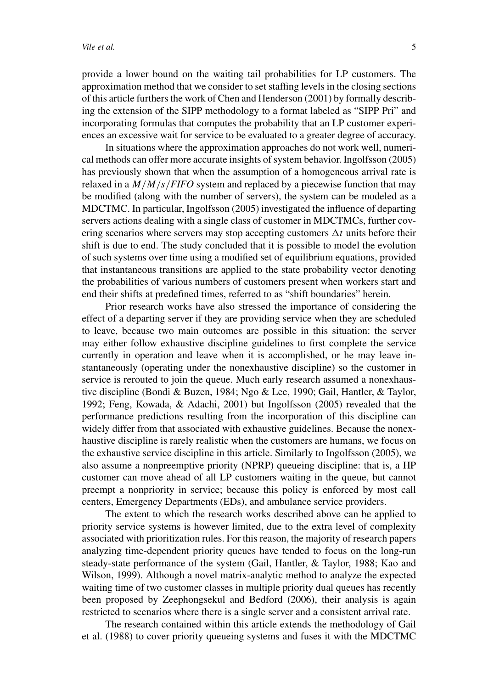provide a lower bound on the waiting tail probabilities for LP customers. The approximation method that we consider to set staffing levels in the closing sections of this article furthers the work of Chen and Henderson (2001) by formally describing the extension of the SIPP methodology to a format labeled as "SIPP Pri" and incorporating formulas that computes the probability that an LP customer experiences an excessive wait for service to be evaluated to a greater degree of accuracy.

In situations where the approximation approaches do not work well, numerical methods can offer more accurate insights of system behavior. Ingolfsson (2005) has previously shown that when the assumption of a homogeneous arrival rate is relaxed in a *M/M/s/FIFO* system and replaced by a piecewise function that may be modified (along with the number of servers), the system can be modeled as a MDCTMC. In particular, Ingolfsson (2005) investigated the influence of departing servers actions dealing with a single class of customer in MDCTMCs, further covering scenarios where servers may stop accepting customers  $\Delta t$  units before their shift is due to end. The study concluded that it is possible to model the evolution of such systems over time using a modified set of equilibrium equations, provided that instantaneous transitions are applied to the state probability vector denoting the probabilities of various numbers of customers present when workers start and end their shifts at predefined times, referred to as "shift boundaries" herein.

Prior research works have also stressed the importance of considering the effect of a departing server if they are providing service when they are scheduled to leave, because two main outcomes are possible in this situation: the server may either follow exhaustive discipline guidelines to first complete the service currently in operation and leave when it is accomplished, or he may leave instantaneously (operating under the nonexhaustive discipline) so the customer in service is rerouted to join the queue. Much early research assumed a nonexhaustive discipline (Bondi & Buzen, 1984; Ngo & Lee, 1990; Gail, Hantler, & Taylor, 1992; Feng, Kowada, & Adachi, 2001) but Ingolfsson (2005) revealed that the performance predictions resulting from the incorporation of this discipline can widely differ from that associated with exhaustive guidelines. Because the nonexhaustive discipline is rarely realistic when the customers are humans, we focus on the exhaustive service discipline in this article. Similarly to Ingolfsson (2005), we also assume a nonpreemptive priority (NPRP) queueing discipline: that is, a HP customer can move ahead of all LP customers waiting in the queue, but cannot preempt a nonpriority in service; because this policy is enforced by most call centers, Emergency Departments (EDs), and ambulance service providers.

The extent to which the research works described above can be applied to priority service systems is however limited, due to the extra level of complexity associated with prioritization rules. For this reason, the majority of research papers analyzing time-dependent priority queues have tended to focus on the long-run steady-state performance of the system (Gail, Hantler, & Taylor, 1988; Kao and Wilson, 1999). Although a novel matrix-analytic method to analyze the expected waiting time of two customer classes in multiple priority dual queues has recently been proposed by Zeephongsekul and Bedford (2006), their analysis is again restricted to scenarios where there is a single server and a consistent arrival rate.

The research contained within this article extends the methodology of Gail et al. (1988) to cover priority queueing systems and fuses it with the MDCTMC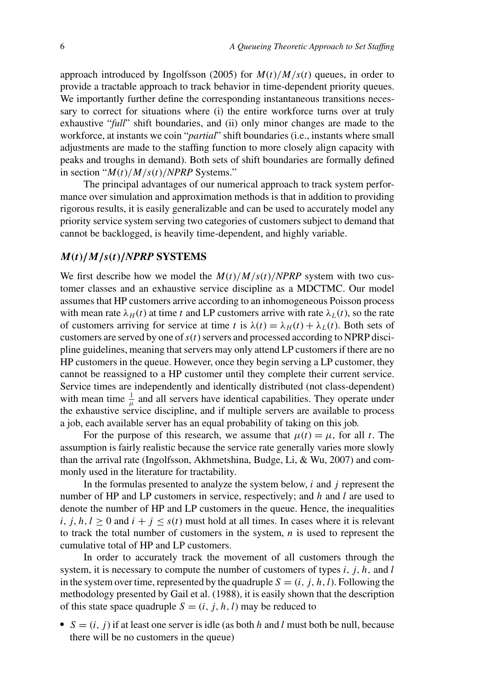approach introduced by Ingolfsson (2005) for *M*(*t*)*/M/s*(*t*) queues, in order to provide a tractable approach to track behavior in time-dependent priority queues. We importantly further define the corresponding instantaneous transitions necessary to correct for situations where (i) the entire workforce turns over at truly exhaustive "*full*" shift boundaries, and (ii) only minor changes are made to the workforce, at instants we coin "*partial*" shift boundaries (i.e., instants where small adjustments are made to the staffing function to more closely align capacity with peaks and troughs in demand). Both sets of shift boundaries are formally defined in section " $M(t)/M/s(t)/NPRP$  Systems."

The principal advantages of our numerical approach to track system performance over simulation and approximation methods is that in addition to providing rigorous results, it is easily generalizable and can be used to accurately model any priority service system serving two categories of customers subject to demand that cannot be backlogged, is heavily time-dependent, and highly variable.

# *M***(***t***)***/M/s***(***t***)***/NPRP* **SYSTEMS**

We first describe how we model the  $M(t)/M/s(t)/NPRP$  system with two customer classes and an exhaustive service discipline as a MDCTMC. Our model assumes that HP customers arrive according to an inhomogeneous Poisson process with mean rate  $\lambda_H(t)$  at time *t* and LP customers arrive with rate  $\lambda_L(t)$ , so the rate of customers arriving for service at time *t* is  $\lambda(t) = \lambda_H(t) + \lambda_L(t)$ . Both sets of customers are served by one of*s*(*t*) servers and processed according to NPRP discipline guidelines, meaning that servers may only attend LP customers if there are no HP customers in the queue. However, once they begin serving a LP customer, they cannot be reassigned to a HP customer until they complete their current service. Service times are independently and identically distributed (not class-dependent) with mean time  $\frac{1}{\mu}$  and all servers have identical capabilities. They operate under the exhaustive service discipline, and if multiple servers are available to process a job, each available server has an equal probability of taking on this job.

For the purpose of this research, we assume that  $\mu(t) = \mu$ , for all *t*. The assumption is fairly realistic because the service rate generally varies more slowly than the arrival rate (Ingolfsson, Akhmetshina, Budge, Li, & Wu, 2007) and commonly used in the literature for tractability.

In the formulas presented to analyze the system below, *i* and *j* represent the number of HP and LP customers in service, respectively; and *h* and *l* are used to denote the number of HP and LP customers in the queue. Hence, the inequalities *i, j, h, l*  $\geq 0$  and *i* + *j*  $\leq$  *s*(*t*) must hold at all times. In cases where it is relevant to track the total number of customers in the system, *n* is used to represent the cumulative total of HP and LP customers.

In order to accurately track the movement of all customers through the system, it is necessary to compute the number of customers of types *i, j, h,* and *l* in the system over time, represented by the quadruple  $S = (i, j, h, l)$ . Following the methodology presented by Gail et al. (1988), it is easily shown that the description of this state space quadruple  $S = (i, j, h, l)$  may be reduced to

 $S = (i, j)$  if at least one server is idle (as both *h* and *l* must both be null, because there will be no customers in the queue)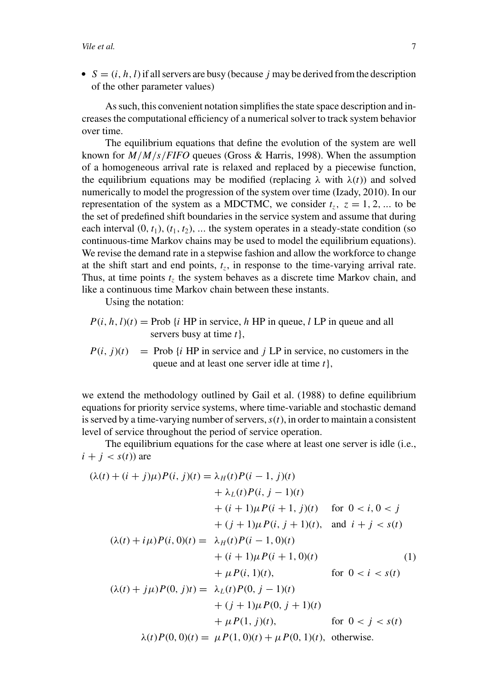$S = (i, h, l)$  if all servers are busy (because *j* may be derived from the description of the other parameter values)

As such, this convenient notation simplifies the state space description and increases the computational efficiency of a numerical solver to track system behavior over time.

The equilibrium equations that define the evolution of the system are well known for *M/M/s/FIFO* queues (Gross & Harris, 1998). When the assumption of a homogeneous arrival rate is relaxed and replaced by a piecewise function, the equilibrium equations may be modified (replacing  $\lambda$  with  $\lambda(t)$ ) and solved numerically to model the progression of the system over time (Izady, 2010). In our representation of the system as a MDCTMC, we consider  $t_z$ ,  $z = 1, 2, ...$  to be the set of predefined shift boundaries in the service system and assume that during each interval  $(0, t_1)$ ,  $(t_1, t_2)$ , ... the system operates in a steady-state condition (so continuous-time Markov chains may be used to model the equilibrium equations). We revise the demand rate in a stepwise fashion and allow the workforce to change at the shift start and end points,  $t<sub>z</sub>$ , in response to the time-varying arrival rate. Thus, at time points  $t<sub>z</sub>$  the system behaves as a discrete time Markov chain, and like a continuous time Markov chain between these instants.

Using the notation:

$$
P(i, h, l)(t)
$$
 = Prob {*i* HP in service, *h* HP in queue, *l* LP in queue and all servers busy at time *t*},

 $P(i, j)(t) =$  Prob  $\{i \text{ HP in service and } j \text{ LP in service, no customers in the }\}$ queue and at least one server idle at time *t*}*,*

we extend the methodology outlined by Gail et al. (1988) to define equilibrium equations for priority service systems, where time-variable and stochastic demand is served by a time-varying number of servers,*s*(*t*), in order to maintain a consistent level of service throughout the period of service operation.

The equilibrium equations for the case where at least one server is idle (i.e.,  $i + j < s(t)$ ) are

$$
(\lambda(t) + (i + j)\mu)P(i, j)(t) = \lambda_H(t)P(i - 1, j)(t) + \lambda_L(t)P(i, j - 1)(t) + (i + 1)\mu P(i + 1, j)(t) \text{ for } 0 < i, 0 < j + (j + 1)\mu P(i, j + 1)(t), \text{ and } i + j < s(t) (\lambda(t) + i\mu)P(i, 0)(t) = \lambda_H(t)P(i - 1, 0)(t) + (i + 1)\mu P(i + 1, 0)(t) + \mu P(i, 1)(t), \text{ for } 0 < i < s(t) (\lambda(t) + j\mu)P(0, j)t) = \lambda_L(t)P(0, j - 1)(t) + (j + 1)\mu P(0, j + 1)(t) + \mu P(1, j)(t), \text{ for } 0 < j < s(t) \lambda(t)P(0, 0)(t) = \mu P(1, 0)(t) + \mu P(0, 1)(t), \text{ otherwise.}
$$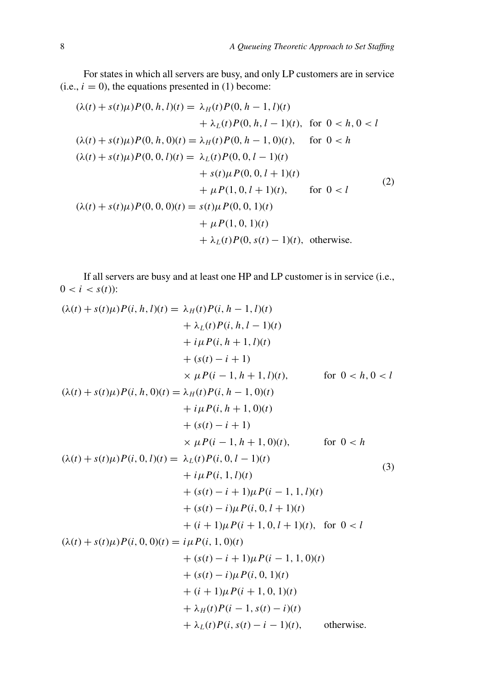For states in which all servers are busy, and only LP customers are in service  $(i.e.,  $i = 0$ ), the equations presented in (1) become:$ 

$$
(\lambda(t) + s(t)\mu)P(0, h, l)(t) = \lambda_H(t)P(0, h - 1, l)(t)
$$
  
+  $\lambda_L(t)P(0, h, l - 1)(t)$ , for  $0 < h, 0 < l$   

$$
(\lambda(t) + s(t)\mu)P(0, h, 0)(t) = \lambda_H(t)P(0, h - 1, 0)(t)
$$
 for  $0 < h$   

$$
(\lambda(t) + s(t)\mu)P(0, 0, l)(t) = \lambda_L(t)P(0, 0, l - 1)(t)
$$
  
+  $s(t)\mu P(0, 0, l + 1)(t)$   
+  $\mu P(1, 0, l + 1)(t)$ , for  $0 < l$   

$$
(\lambda(t) + s(t)\mu)P(0, 0, 0)(t) = s(t)\mu P(0, 0, 1)(t)
$$
  
+  $\mu P(1, 0, 1)(t)$   
+  $\lambda_L(t)P(0, s(t) - 1)(t)$ , otherwise.

If all servers are busy and at least one HP and LP customer is in service (i.e.,  $0 < i < s(t)$ :

$$
(\lambda(t) + s(t)\mu)P(i, h, l)(t) = \lambda_H(t)P(i, h - 1, l)(t) + \lambda_L(t)P(i, h, l - 1)(t) + i\mu P(i, h + 1, l)(t) + (s(t) - i + 1) \times \mu P(i - 1, h + 1, l)(t), \qquad \text{for } 0 < h, 0 < l (\lambda(t) + s(t)\mu)P(i, h, 0)(t) = \lambda_H(t)P(i, h - 1, 0)(t) + i\mu P(i, h + 1, 0)(t) + (s(t) - i + 1) \times \mu P(i - 1, h + 1, 0)(t), \qquad \text{for } 0 < h (\lambda(t) + s(t)\mu)P(i, 0, l)(t) = \lambda_L(t)P(i, 0, l - 1)(t) + i\mu P(i, 1, l)(t) + (s(t) - i + 1)\mu P(i - 1, 1, l)(t) + (s(t) - i)\mu P(i, 0, l + 1)(t) + (i + 1)\mu P(i + 1, 0, l + 1)(t), \qquad \text{for } 0 < l (\lambda(t) + s(t)\mu)P(i, 0, 0)(t) = i\mu P(i, 1, 0)(t) + (s(t) - i + 1)\mu P(i - 1, 1, 0)(t) + (s(t) - i + 1)\mu P(i - 1, 1, 0)(t) + (s(t) - i)\mu P(i, 0, 1)(t) + (i + 1)\mu P(i + 1, 0, 1)(t) + \lambda_H(t)P(i - 1, s(t) - i)(t), \qquad \text{otherwise.}
$$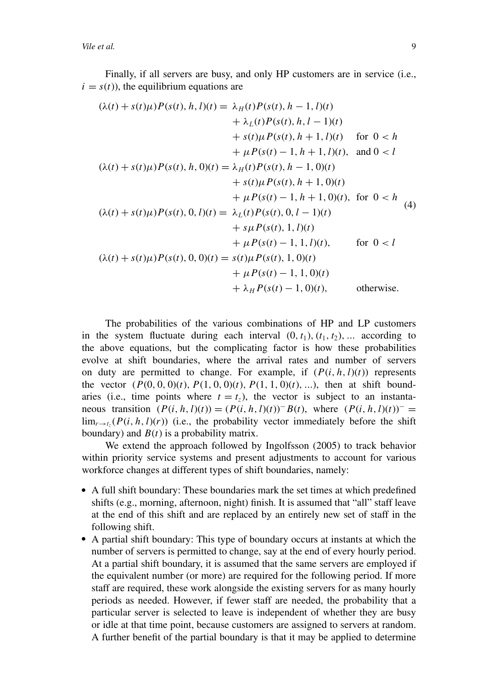Finally, if all servers are busy, and only HP customers are in service (i.e.,  $i = s(t)$ , the equilibrium equations are

$$
(\lambda(t) + s(t)\mu)P(s(t), h, l)(t) = \lambda_H(t)P(s(t), h - 1, l)(t) + \lambda_L(t)P(s(t), h, l - 1)(t) + s(t)\mu P(s(t), h + 1, l)(t) \quad \text{for } 0 < h + \mu P(s(t) - 1, h + 1, l)(t), \quad \text{and } 0 < l (\lambda(t) + s(t)\mu)P(s(t), h, 0)(t) = \lambda_H(t)P(s(t), h - 1, 0)(t) + s(t)\mu P(s(t), h + 1, 0)(t) + \mu P(s(t) - 1, h + 1, 0)(t), \quad \text{for } 0 < h (\lambda(t) + s(t)\mu)P(s(t), 0, l)(t) = \lambda_L(t)P(s(t), 0, l - 1)(t) + s\mu P(s(t), 1, l)(t) + \mu P(s(t) - 1, 1, l)(t), \quad \text{for } 0 < l (\lambda(t) + s(t)\mu)P(s(t), 0, 0)(t) = s(t)\mu P(s(t), 1, 0)(t) + \mu P(s(t) - 1, 1, 0)(t) + \lambda_H P(s(t) - 1, 0)(t), \quad \text{otherwise.}
$$

The probabilities of the various combinations of HP and LP customers in the system fluctuate during each interval  $(0, t_1)$ ,  $(t_1, t_2)$ , ... according to the above equations, but the complicating factor is how these probabilities evolve at shift boundaries, where the arrival rates and number of servers on duty are permitted to change. For example, if  $(P(i, h, l)(t))$  represents the vector  $(P(0, 0, 0)(t), P(1, 0, 0)(t), P(1, 1, 0)(t), \ldots)$ , then at shift boundaries (i.e., time points where  $t = t<sub>z</sub>$ ), the vector is subject to an instantaneous transition  $(P(i, h, l)(t)) = (P(i, h, l)(t))^{-}B(t)$ , where  $(P(i, h, l)(t))^{-} =$  $\lim_{r \to t} (P(i, h, l)(r))$  (i.e., the probability vector immediately before the shift boundary) and  $B(t)$  is a probability matrix.

We extend the approach followed by Ingolfsson (2005) to track behavior within priority service systems and present adjustments to account for various workforce changes at different types of shift boundaries, namely:

- A full shift boundary: These boundaries mark the set times at which predefined shifts (e.g., morning, afternoon, night) finish. It is assumed that "all" staff leave at the end of this shift and are replaced by an entirely new set of staff in the following shift.
- A partial shift boundary: This type of boundary occurs at instants at which the number of servers is permitted to change, say at the end of every hourly period. At a partial shift boundary, it is assumed that the same servers are employed if the equivalent number (or more) are required for the following period. If more staff are required, these work alongside the existing servers for as many hourly periods as needed. However, if fewer staff are needed, the probability that a particular server is selected to leave is independent of whether they are busy or idle at that time point, because customers are assigned to servers at random. A further benefit of the partial boundary is that it may be applied to determine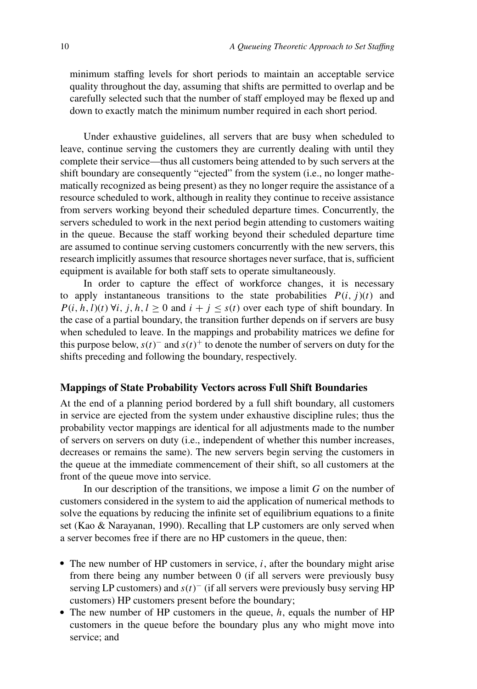minimum staffing levels for short periods to maintain an acceptable service quality throughout the day, assuming that shifts are permitted to overlap and be carefully selected such that the number of staff employed may be flexed up and down to exactly match the minimum number required in each short period.

Under exhaustive guidelines, all servers that are busy when scheduled to leave, continue serving the customers they are currently dealing with until they complete their service—thus all customers being attended to by such servers at the shift boundary are consequently "ejected" from the system (i.e., no longer mathematically recognized as being present) as they no longer require the assistance of a resource scheduled to work, although in reality they continue to receive assistance from servers working beyond their scheduled departure times. Concurrently, the servers scheduled to work in the next period begin attending to customers waiting in the queue. Because the staff working beyond their scheduled departure time are assumed to continue serving customers concurrently with the new servers, this research implicitly assumes that resource shortages never surface, that is, sufficient equipment is available for both staff sets to operate simultaneously.

In order to capture the effect of workforce changes, it is necessary to apply instantaneous transitions to the state probabilities  $P(i, j)(t)$  and *P*(*i*, *h*, *l*)(*t*)  $\forall i$ , *j*, *h*, *l*  $\geq$  0 and *i* + *j*  $\leq$  *s*(*t*) over each type of shift boundary. In the case of a partial boundary, the transition further depends on if servers are busy when scheduled to leave. In the mappings and probability matrices we define for this purpose below,  $s(t)^{-}$  and  $s(t)^{+}$  to denote the number of servers on duty for the shifts preceding and following the boundary, respectively.

# **Mappings of State Probability Vectors across Full Shift Boundaries**

At the end of a planning period bordered by a full shift boundary, all customers in service are ejected from the system under exhaustive discipline rules; thus the probability vector mappings are identical for all adjustments made to the number of servers on servers on duty (i.e., independent of whether this number increases, decreases or remains the same). The new servers begin serving the customers in the queue at the immediate commencement of their shift, so all customers at the front of the queue move into service.

In our description of the transitions, we impose a limit *G* on the number of customers considered in the system to aid the application of numerical methods to solve the equations by reducing the infinite set of equilibrium equations to a finite set (Kao & Narayanan, 1990). Recalling that LP customers are only served when a server becomes free if there are no HP customers in the queue, then:

- The new number of HP customers in service, *i*, after the boundary might arise from there being any number between 0 (if all servers were previously busy serving LP customers) and  $s(t)$ <sup>-</sup> (if all servers were previously busy serving HP customers) HP customers present before the boundary;
- The new number of HP customers in the queue, *h*, equals the number of HP customers in the queue before the boundary plus any who might move into service; and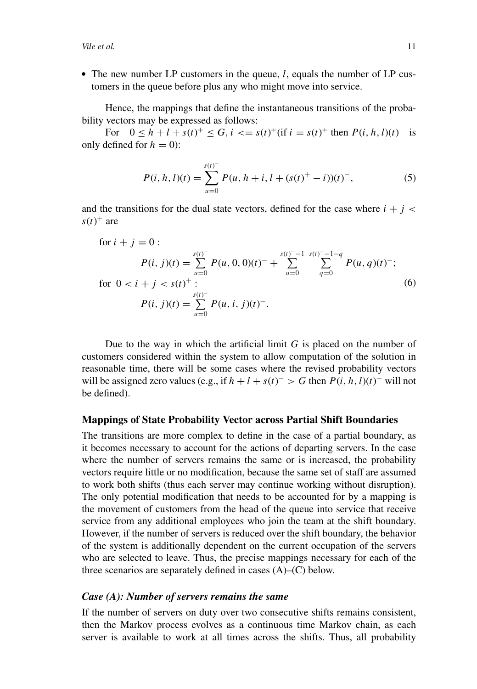- The new number LP customers in the queue, *l*, equals the number of LP customers in the queue before plus any who might move into service.

Hence, the mappings that define the instantaneous transitions of the probability vectors may be expressed as follows:

For  $0 \le h + l + s(t)^{+} \le G, i \le s(t)^{+}$  (if  $i = s(t)^{+}$  then  $P(i, h, l)(t)$  is only defined for  $h = 0$ :

$$
P(i, h, l)(t) = \sum_{u=0}^{s(t)^{-}} P(u, h+i, l+(s(t)^{+}-i))(t)^{-},
$$
\n(5)

and the transitions for the dual state vectors, defined for the case where  $i + j <$  $s(t)^+$  are

for 
$$
i + j = 0
$$
:  
\n
$$
P(i, j)(t) = \sum_{u=0}^{s(t)^{-}} P(u, 0, 0)(t)^{-} + \sum_{u=0}^{s(t)^{-}-1} \sum_{q=0}^{s(t)^{-}-1-q} P(u, q)(t)^{-};
$$
\nfor  $0 < i + j < s(t)^{+}$ :  
\n
$$
P(i, j)(t) = \sum_{u=0}^{s(t)^{-}} P(u, i, j)(t)^{-}.
$$
\n(6)

Due to the way in which the artificial limit *G* is placed on the number of customers considered within the system to allow computation of the solution in reasonable time, there will be some cases where the revised probability vectors will be assigned zero values (e.g., if  $h + l + s(t)^{-} > G$  then  $P(i, h, l)(t)^{-}$  will not be defined).

# **Mappings of State Probability Vector across Partial Shift Boundaries**

The transitions are more complex to define in the case of a partial boundary, as it becomes necessary to account for the actions of departing servers. In the case where the number of servers remains the same or is increased, the probability vectors require little or no modification, because the same set of staff are assumed to work both shifts (thus each server may continue working without disruption). The only potential modification that needs to be accounted for by a mapping is the movement of customers from the head of the queue into service that receive service from any additional employees who join the team at the shift boundary. However, if the number of servers is reduced over the shift boundary, the behavior of the system is additionally dependent on the current occupation of the servers who are selected to leave. Thus, the precise mappings necessary for each of the three scenarios are separately defined in cases (A)–(C) below.

## *Case (A): Number of servers remains the same*

If the number of servers on duty over two consecutive shifts remains consistent, then the Markov process evolves as a continuous time Markov chain, as each server is available to work at all times across the shifts. Thus, all probability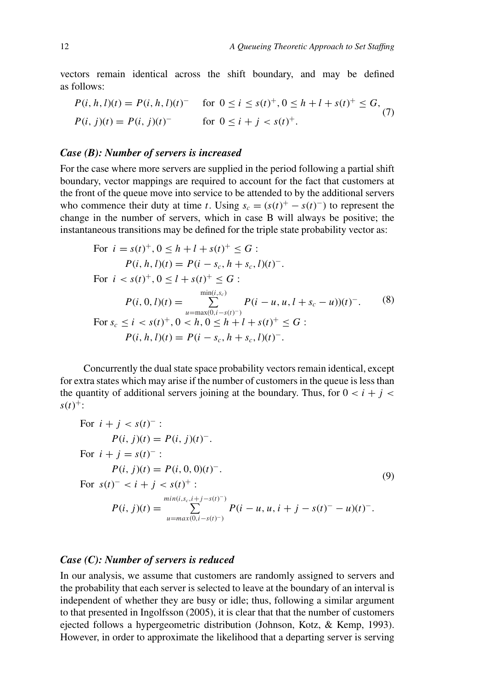vectors remain identical across the shift boundary, and may be defined as follows:

$$
P(i, h, l)(t) = P(i, h, l)(t)^{-} \quad \text{for } 0 \le i \le s(t)^{+}, 0 \le h + l + s(t)^{+} \le G,
$$
  
\n
$$
P(i, j)(t) = P(i, j)(t)^{-} \quad \text{for } 0 \le i + j < s(t)^{+}.
$$

#### *Case (B): Number of servers is increased*

For the case where more servers are supplied in the period following a partial shift boundary, vector mappings are required to account for the fact that customers at the front of the queue move into service to be attended to by the additional servers who commence their duty at time *t*. Using  $s_c = (s(t)^+ - s(t)^-)$  to represent the change in the number of servers, which in case B will always be positive; the instantaneous transitions may be defined for the triple state probability vector as:

For 
$$
i = s(t)^{+}
$$
,  $0 \le h + l + s(t)^{+} \le G$ :  
\n
$$
P(i, h, l)(t) = P(i - s_c, h + s_c, l)(t)^{-}.
$$
\nFor  $i < s(t)^{+}$ ,  $0 \le l + s(t)^{+} \le G$ :  
\n
$$
P(i, 0, l)(t) = \sum_{u = \max(0, i - s(t)^{-})}^{\min(i, s_c)} P(i - u, u, l + s_c - u))(t)^{-}.
$$
\n(8)  
\nFor  $s_c \le i < s(t)^{+}$ ,  $0 < h, 0 \le h + l + s(t)^{+} \le G$ :  
\n
$$
P(i, h, l)(t) = P(i - s_c, h + s_c, l)(t)^{-}.
$$

Concurrently the dual state space probability vectors remain identical, except for extra states which may arise if the number of customers in the queue is less than the quantity of additional servers joining at the boundary. Thus, for  $0 < i + j <$  $s(t)^+$ :

For 
$$
i + j < s(t)^{-}
$$
:  
\n
$$
P(i, j)(t) = P(i, j)(t)^{-}.
$$
\nFor  $i + j = s(t)^{-}$ :  
\n
$$
P(i, j)(t) = P(i, 0, 0)(t)^{-}.
$$
\nFor  $s(t)^{-} < i + j < s(t)^{+}$ :  
\n
$$
P(i, j)(t) = \sum_{u = max(0, i - s(t)^{-})}^{min(i, s_c, i + j - s(t)^{-})} P(i - u, u, i + j - s(t)^{-} - u)(t)^{-}.
$$
\n(9)

## *Case (C): Number of servers is reduced*

In our analysis, we assume that customers are randomly assigned to servers and the probability that each server is selected to leave at the boundary of an interval is independent of whether they are busy or idle; thus, following a similar argument to that presented in Ingolfsson (2005), it is clear that that the number of customers ejected follows a hypergeometric distribution (Johnson, Kotz, & Kemp, 1993). However, in order to approximate the likelihood that a departing server is serving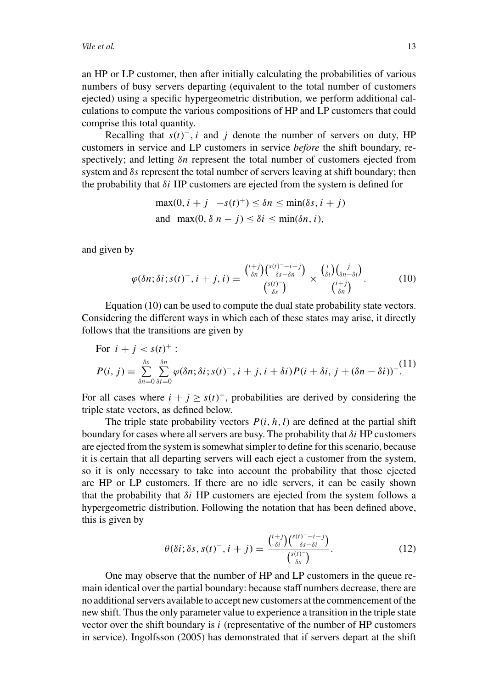an HP or LP customer, then after initially calculating the probabilities of various numbers of busy servers departing (equivalent to the total number of customers ejected) using a specific hypergeometric distribution, we perform additional calculations to compute the various compositions of HP and LP customers that could comprise this total quantity.

Recalling that  $s(t)^{-}$ , *i* and *j* denote the number of servers on duty, HP customers in service and LP customers in service *before* the shift boundary, respectively; and letting *δn* represent the total number of customers ejected from system and *δs* represent the total number of servers leaving at shift boundary; then the probability that *δi* HP customers are ejected from the system is defined for

$$
\max(0, i + j -s(t)^+) \le \delta n \le \min(\delta s, i + j)
$$
  
and 
$$
\max(0, \delta n - j) \le \delta i \le \min(\delta n, i),
$$

and given by

$$
\varphi(\delta n; \delta i; s(t)^-, i+j, i) = \frac{{\binom{i+j}{\delta n}} {\binom{s(t)^- - i - j}{\delta s - \delta n}}}{\binom{s(t)^-}{\delta s}} \times \frac{{\binom{i}{\delta i}} {\binom{j}{\delta n - \delta i}}}{\binom{i+j}{\delta n}}.
$$
(10)

Equation (10) can be used to compute the dual state probability state vectors. Considering the different ways in which each of these states may arise, it directly follows that the transitions are given by

For 
$$
i + j < s(t)^{+}
$$
:  
\n
$$
P(i, j) = \sum_{\delta n=0}^{\delta s} \sum_{\delta i=0}^{\delta n} \varphi(\delta n; \delta i; s(t)^{-}, i + j, i + \delta i) P(i + \delta i, j + (\delta n - \delta i))^{-1}
$$
\n(11)

For all cases where  $i + j \geq s(t)^{+}$ , probabilities are derived by considering the triple state vectors, as defined below.

The triple state probability vectors  $P(i, h, l)$  are defined at the partial shift boundary for cases where all servers are busy. The probability that *δi* HP customers are ejected from the system is somewhat simpler to define for this scenario, because it is certain that all departing servers will each eject a customer from the system, so it is only necessary to take into account the probability that those ejected are HP or LP customers. If there are no idle servers, it can be easily shown that the probability that *δi* HP customers are ejected from the system follows a hypergeometric distribution. Following the notation that has been defined above, this is given by

$$
\theta(\delta i; \delta s, s(t)^-, i+j) = \frac{{\binom{i+j}{\delta i}} {\binom{s(t)^-, i-j}{\delta s - \delta i}}}{\binom{s(t)^-}{\delta s}}.
$$
\n(12)

One may observe that the number of HP and LP customers in the queue remain identical over the partial boundary: because staff numbers decrease, there are no additional servers available to accept new customers at the commencement of the new shift. Thus the only parameter value to experience a transition in the triple state vector over the shift boundary is *i* (representative of the number of HP customers in service). Ingolfsson (2005) has demonstrated that if servers depart at the shift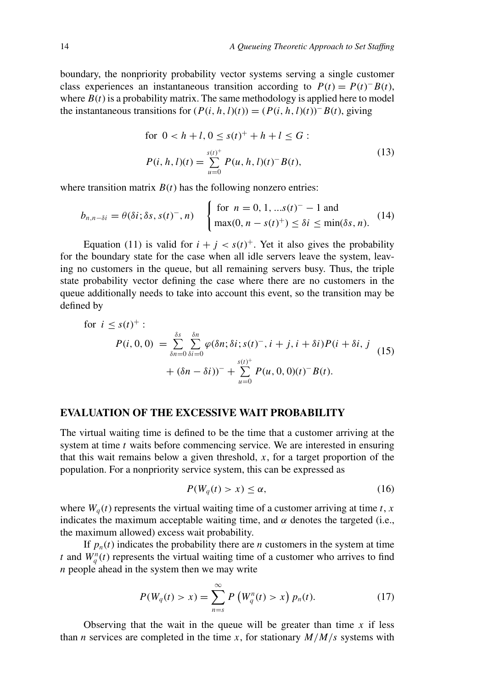boundary, the nonpriority probability vector systems serving a single customer class experiences an instantaneous transition according to  $P(t) = P(t)^{-1}B(t)$ , where  $B(t)$  is a probability matrix. The same methodology is applied here to model the instantaneous transitions for  $(P(i, h, l)(t)) = (P(i, h, l)(t))$ <sup>-</sup> $B(t)$ , giving

for 
$$
0 < h + l
$$
,  $0 \le s(t)^{+} + h + l \le G$ :  
\n
$$
P(i, h, l)(t) = \sum_{u=0}^{s(t)^{+}} P(u, h, l)(t)^{-} B(t),
$$
\n(13)

where transition matrix  $B(t)$  has the following nonzero entries:

$$
b_{n,n-\delta i} = \theta(\delta i; \delta s, s(t)^-, n) \quad \begin{cases} \text{for } n = 0, 1, \dots s(t)^- - 1 \text{ and} \\ \max(0, n - s(t)^+) \le \delta i \le \min(\delta s, n). \end{cases} (14)
$$

Equation (11) is valid for  $i + j < s(t)^{+}$ . Yet it also gives the probability for the boundary state for the case when all idle servers leave the system, leaving no customers in the queue, but all remaining servers busy. Thus, the triple state probability vector defining the case where there are no customers in the queue additionally needs to take into account this event, so the transition may be defined by

for 
$$
i \le s(t)^+
$$
:  
\n
$$
P(i, 0, 0) = \sum_{\delta n=0}^{\delta s} \sum_{\delta i=0}^{\delta n} \varphi(\delta n; \delta i; s(t)^-, i + j, i + \delta i) P(i + \delta i, j + (\delta n - \delta i)) + \sum_{u=0}^{s(t)^+} P(u, 0, 0)(t)^- B(t).
$$
\n(15)

### **EVALUATION OF THE EXCESSIVE WAIT PROBABILITY**

The virtual waiting time is defined to be the time that a customer arriving at the system at time *t* waits before commencing service. We are interested in ensuring that this wait remains below a given threshold, *x*, for a target proportion of the population. For a nonpriority service system, this can be expressed as

$$
P(W_q(t) > x) \le \alpha,\tag{16}
$$

where  $W_q(t)$  represents the virtual waiting time of a customer arriving at time  $t$ ,  $x$ indicates the maximum acceptable waiting time, and  $\alpha$  denotes the targeted (i.e., the maximum allowed) excess wait probability.

If  $p_n(t)$  indicates the probability there are *n* customers in the system at time *t* and  $W_q^n(t)$  represents the virtual waiting time of a customer who arrives to find *n* people ahead in the system then we may write

$$
P(W_q(t) > x) = \sum_{n=s}^{\infty} P\left(W_q^n(t) > x\right) p_n(t).
$$
 (17)

Observing that the wait in the queue will be greater than time  $x$  if less than *n* services are completed in the time *x*, for stationary  $M/M/s$  systems with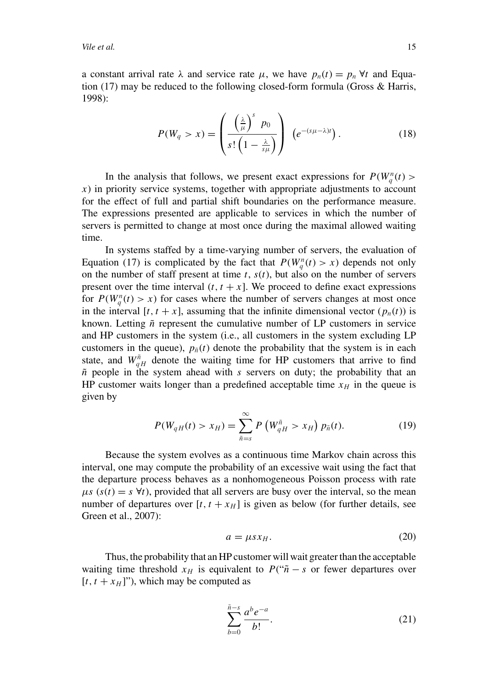a constant arrival rate  $\lambda$  and service rate  $\mu$ , we have  $p_n(t) = p_n \forall t$  and Equation (17) may be reduced to the following closed-form formula (Gross & Harris, 1998):

$$
P(W_q > x) = \left(\frac{\left(\frac{\lambda}{\mu}\right)^s p_0}{s!\left(1 - \frac{\lambda}{s\mu}\right)}\right) \left(e^{-(s\mu - \lambda)t}\right). \tag{18}
$$

In the analysis that follows, we present exact expressions for  $P(W_q^n(t) >$ *x*) in priority service systems, together with appropriate adjustments to account for the effect of full and partial shift boundaries on the performance measure. The expressions presented are applicable to services in which the number of servers is permitted to change at most once during the maximal allowed waiting time.

In systems staffed by a time-varying number of servers, the evaluation of Equation (17) is complicated by the fact that  $P(W_q^n(t) > x)$  depends not only on the number of staff present at time  $t$ ,  $s(t)$ , but also on the number of servers present over the time interval  $(t, t + x]$ . We proceed to define exact expressions for  $P(W_q^n(t) > x)$  for cases where the number of servers changes at most once in the interval  $[t, t + x]$ , assuming that the infinite dimensional vector  $(p_n(t))$  is known. Letting  $\tilde{n}$  represent the cumulative number of LP customers in service and HP customers in the system (i.e., all customers in the system excluding LP customers in the queue),  $p_{\tilde{n}}(t)$  denote the probability that the system is in each state, and  $W_{qH}^{\tilde{n}}$  denote the waiting time for HP customers that arrive to find  $\tilde{n}$  people in the system ahead with  $s$  servers on duty; the probability that an HP customer waits longer than a predefined acceptable time  $x_H$  in the queue is given by

$$
P(W_{qH}(t) > x_H) = \sum_{\tilde{n}=s}^{\infty} P\left(W_{qH}^{\tilde{n}} > x_H\right) p_{\tilde{n}}(t).
$$
 (19)

Because the system evolves as a continuous time Markov chain across this interval, one may compute the probability of an excessive wait using the fact that the departure process behaves as a nonhomogeneous Poisson process with rate  $\mu s$  ( $s(t) = s \forall t$ ), provided that all servers are busy over the interval, so the mean number of departures over  $[t, t + x_H]$  is given as below (for further details, see Green et al., 2007):

$$
a = \mu s x_H. \tag{20}
$$

Thus, the probability that an HP customer will wait greater than the acceptable waiting time threshold  $x_H$  is equivalent to  $P("n - s)$  or fewer departures over  $[t, t + x_H]$ "), which may be computed as

$$
\sum_{b=0}^{\tilde{n}-s} \frac{a^b e^{-a}}{b!}.\tag{21}
$$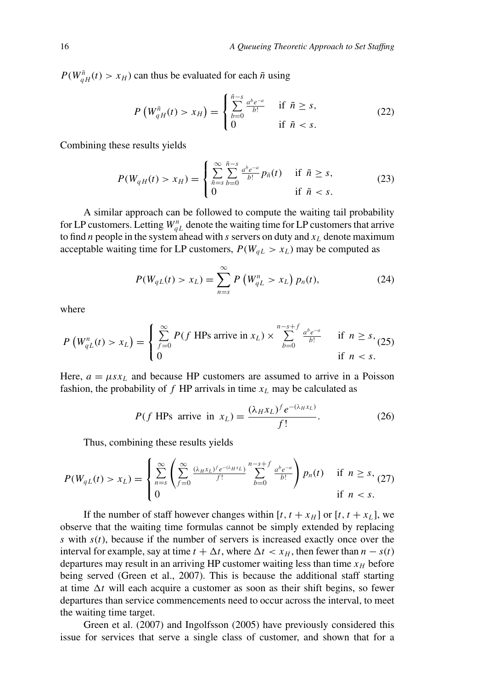$P(W_{qH}^{\tilde{n}}(t) > x_H)$  can thus be evaluated for each  $\tilde{n}$  using

$$
P\left(W_{qH}^{\tilde{n}}(t) > x_H\right) = \begin{cases} \sum_{b=0}^{\tilde{n}-s} \frac{a^b e^{-a}}{b!} & \text{if } \tilde{n} \ge s, \\ 0 & \text{if } \tilde{n} < s. \end{cases} \tag{22}
$$

Combining these results yields

$$
P(W_{qH}(t) > x_H) = \begin{cases} \sum_{\tilde{n}=s}^{\infty} \sum_{b=0}^{\tilde{n}-s} \frac{a^b e^{-a}}{b!} p_{\tilde{n}}(t) & \text{if } \tilde{n} \ge s, \\ 0 & \text{if } \tilde{n} < s. \end{cases}
$$
(23)

A similar approach can be followed to compute the waiting tail probability for LP customers. Letting  $W_{qL}^n$  denote the waiting time for LP customers that arrive to find *n* people in the system ahead with *s* servers on duty and  $x_L$  denote maximum acceptable waiting time for LP customers,  $P(W_{qL} > x_L)$  may be computed as

$$
P(W_{qL}(t) > x_L) = \sum_{n=s}^{\infty} P\left(W_{qL}^n > x_L\right) p_n(t), \tag{24}
$$

where

$$
P\left(W_{qL}^n(t) > x_L\right) = \begin{cases} \sum_{f=0}^{\infty} P(f \text{ HPs arrive in } x_L) \times \sum_{b=0}^{n-s+f} \frac{a^b e^{-a}}{b!} & \text{if } n \ge s,\\ 0 & \text{if } n < s. \end{cases} \tag{25}
$$

Here,  $a = \mu s x_L$  and because HP customers are assumed to arrive in a Poisson fashion, the probability of  $f$  HP arrivals in time  $x_L$  may be calculated as

$$
P(f \text{ HPs arrive in } x_L) = \frac{(\lambda_H x_L)^f e^{-(\lambda_H x_L)}}{f!}.
$$
 (26)

Thus, combining these results yields

$$
P(W_{qL}(t) > x_L) = \begin{cases} \sum_{n=s}^{\infty} \left( \sum_{f=0}^{\infty} \frac{(\lambda_H x_L)^f e^{-(\lambda_H x_L)}}{f!} \sum_{b=0}^{n-s+f} \frac{a^b e^{-a}}{b!} \right) p_n(t) & \text{if } n \ge s, (27) \\ 0 & \text{if } n < s. \end{cases}
$$

If the number of staff however changes within  $[t, t + x_H]$  or  $[t, t + x_L]$ , we observe that the waiting time formulas cannot be simply extended by replacing *s* with *s*(*t*), because if the number of servers is increased exactly once over the interval for example, say at time  $t + \Delta t$ , where  $\Delta t < x_H$ , then fewer than  $n - s(t)$ departures may result in an arriving HP customer waiting less than time  $x_H$  before being served (Green et al., 2007). This is because the additional staff starting at time  $\Delta t$  will each acquire a customer as soon as their shift begins, so fewer departures than service commencements need to occur across the interval, to meet the waiting time target.

Green et al. (2007) and Ingolfsson (2005) have previously considered this issue for services that serve a single class of customer, and shown that for a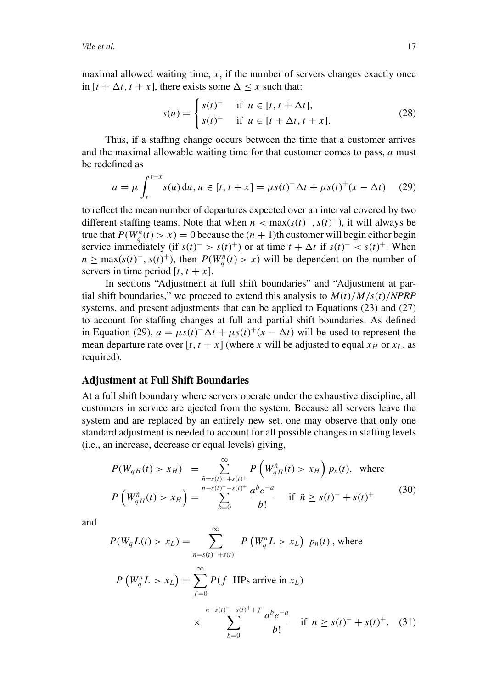maximal allowed waiting time, *x*, if the number of servers changes exactly once in  $[t + \Delta t, t + x]$ , there exists some  $\Delta \leq x$  such that:

$$
s(u) = \begin{cases} s(t)^{-} & \text{if } u \in [t, t + \Delta t], \\ s(t)^{+} & \text{if } u \in [t + \Delta t, t + x]. \end{cases}
$$
(28)

Thus, if a staffing change occurs between the time that a customer arrives and the maximal allowable waiting time for that customer comes to pass, *a* must be redefined as

$$
a = \mu \int_{t}^{t+x} s(u) \, \mathrm{d}u, \, u \in [t, t+x] = \mu s(t)^{-} \Delta t + \mu s(t)^{+} (x - \Delta t) \tag{29}
$$

to reflect the mean number of departures expected over an interval covered by two different staffing teams. Note that when  $n < \max(s(t)^{-}, s(t)^{+})$ , it will always be true that  $P(W_q^n(t) > x) = 0$  because the  $(n + 1)$ th customer will begin either begin service immediately (if  $s(t)^{-} > s(t)^{+}$ ) or at time  $t + \Delta t$  if  $s(t)^{-} < s(t)^{+}$ . When  $n \ge \max(s(t)^-, s(t)^+)$ , then  $P(W_q^n(t) > x)$  will be dependent on the number of servers in time period  $[t, t + x]$ .

In sections "Adjustment at full shift boundaries" and "Adjustment at partial shift boundaries," we proceed to extend this analysis to  $M(t)/M/s(t)/NPRP$ systems, and present adjustments that can be applied to Equations (23) and (27) to account for staffing changes at full and partial shift boundaries. As defined in Equation (29),  $a = \mu s(t)^{-} \Delta t + \mu s(t)^{+}(x - \Delta t)$  will be used to represent the mean departure rate over  $[t, t + x]$  (where *x* will be adjusted to equal  $x_H$  or  $x_L$ , as required).

## **Adjustment at Full Shift Boundaries**

At a full shift boundary where servers operate under the exhaustive discipline, all customers in service are ejected from the system. Because all servers leave the system and are replaced by an entirely new set, one may observe that only one standard adjustment is needed to account for all possible changes in staffing levels (i.e., an increase, decrease or equal levels) giving,

$$
P(W_{qH}(t) > x_H) = \sum_{\tilde{n}=s(t)^{-}+s(t)^{+}}^{\infty} P\left(W_{qH}^{\tilde{n}}(t) > x_H\right) p_{\tilde{n}}(t), \text{ where}
$$
  

$$
P\left(W_{qH}^{\tilde{n}}(t) > x_H\right) = \sum_{b=0}^{\tilde{n}-s(t)^{-} - s(t)^{+}} \frac{a^b e^{-a}}{b!} \text{ if } \tilde{n} \ge s(t)^{-} + s(t)^{+}
$$
 (30)

and

$$
P(W_q L(t) > x_L) = \sum_{n=s(t)^{-}+s(t)^{+}}^{\infty} P\left(W_q^n L > x_L\right) p_n(t), \text{ where}
$$
\n
$$
P\left(W_q^n L > x_L\right) = \sum_{f=0}^{\infty} P(f \text{ HPs arrive in } x_L)
$$
\n
$$
\times \sum_{b=0}^{n-s(t)^{-}-s(t)^{+}+f} \frac{a^b e^{-a}}{b!} \text{ if } n \ge s(t)^{-}+s(t)^{+}. \quad (31)
$$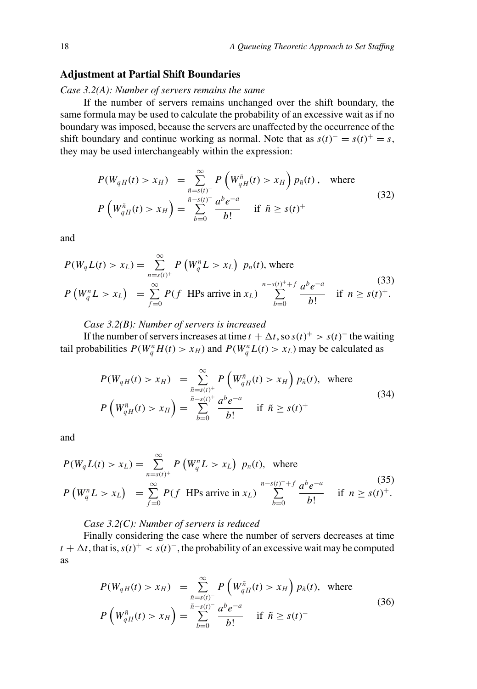## **Adjustment at Partial Shift Boundaries**

#### *Case 3.2(A): Number of servers remains the same*

If the number of servers remains unchanged over the shift boundary, the same formula may be used to calculate the probability of an excessive wait as if no boundary was imposed, because the servers are unaffected by the occurrence of the shift boundary and continue working as normal. Note that as  $s(t)^{-} = s(t)^{+} = s$ , they may be used interchangeably within the expression:

$$
P(W_{qH}(t) > x_H) = \sum_{\tilde{n}=s(t)^+}^{\infty} P\left(W_{qH}^{\tilde{n}}(t) > x_H\right) p_{\tilde{n}}(t), \text{ where}
$$
  
\n
$$
P\left(W_{qH}^{\tilde{n}}(t) > x_H\right) = \sum_{b=0}^{\tilde{n}-s(t)^+} \frac{a^b e^{-a}}{b!} \text{ if } \tilde{n} \ge s(t)^+
$$
\n(32)

and

$$
P(W_q L(t) > x_L) = \sum_{n=s(t)^+}^{\infty} P\left(W_q^n L > x_L\right) p_n(t), \text{ where}
$$
  
\n
$$
P\left(W_q^n L > x_L\right) = \sum_{f=0}^{\infty} P(f \text{ HPs arrive in } x_L) \sum_{b=0}^{n-s(t)^++f} \frac{a^b e^{-a}}{b!} \text{ if } n \ge s(t)^+.
$$
\n(33)

*Case 3.2(B): Number of servers is increased*

If the number of servers increases at time  $t + \Delta t$ , so  $s(t)^+ > s(t)^-$  the waiting tail probabilities  $P(W_q^n H(t) > x_H)$  and  $P(W_q^n L(t) > x_L)$  may be calculated as

$$
P(W_{qH}(t) > x_H) = \sum_{\tilde{n}=s(t)^+}^{\infty} P\left(W_{qH}^{\tilde{n}}(t) > x_H\right) p_{\tilde{n}}(t), \text{ where}
$$
  
\n
$$
P\left(W_{qH}^{\tilde{n}}(t) > x_H\right) = \sum_{b=0}^{\tilde{n}-s(t)^+} \frac{a^b e^{-a}}{b!} \text{ if } \tilde{n} \ge s(t)^+
$$
\n(34)

and

$$
P(W_q L(t) > x_L) = \sum_{n=s(t)^+}^{\infty} P\left(W_q^n L > x_L\right) p_n(t), \text{ where}
$$
  
\n
$$
P\left(W_q^n L > x_L\right) = \sum_{f=0}^{\infty} P(f \text{ HPs arrive in } x_L) \sum_{b=0}^{n-s(t)^+ + f} \frac{a^b e^{-a}}{b!} \text{ if } n \ge s(t)^+.
$$
\n(35)

## *Case 3.2(C): Number of servers is reduced*

Finally considering the case where the number of servers decreases at time  $t + \Delta t$ , that is,  $s(t)^{+} < s(t)^{-}$ , the probability of an excessive wait may be computed as

$$
P(W_{qH}(t) > x_H) = \sum_{\tilde{n}=s(t)^{-}}^{\infty} P\left(W_{qH}^{\tilde{n}}(t) > x_H\right) p_{\tilde{n}}(t), \text{ where}
$$
  
\n
$$
P\left(W_{qH}^{\tilde{n}}(t) > x_H\right) = \sum_{b=0}^{\tilde{n}-s(t)^{-}} \frac{a^b e^{-a}}{b!} \text{ if } \tilde{n} \ge s(t)^{-}
$$
\n(36)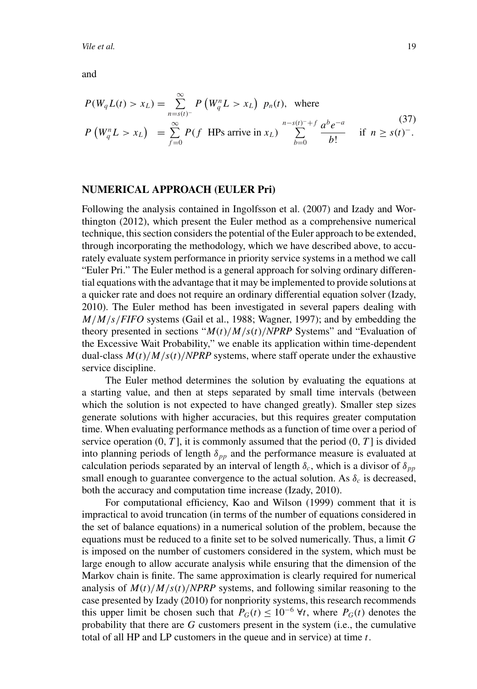$P(W_qL(t) > x_L) = \sum_{k=1}^{\infty}$ *n*=*s*(*t*)<sup>−</sup>  $P(W_q^n L > x_L)$   $p_n(t)$ , where

$$
P\left(W_q^n L > x_L\right) = \sum_{f=0}^{\infty} P(f \text{ HPs arrive in } x_L) \sum_{b=0}^{n-s(t)^{-}+f} \frac{a^b e^{-a}}{b!} \text{ if } n \ge s(t)^{-}.
$$

## **NUMERICAL APPROACH (EULER Pri)**

Following the analysis contained in Ingolfsson et al. (2007) and Izady and Worthington (2012), which present the Euler method as a comprehensive numerical technique, this section considers the potential of the Euler approach to be extended, through incorporating the methodology, which we have described above, to accurately evaluate system performance in priority service systems in a method we call "Euler Pri." The Euler method is a general approach for solving ordinary differential equations with the advantage that it may be implemented to provide solutions at a quicker rate and does not require an ordinary differential equation solver (Izady, 2010). The Euler method has been investigated in several papers dealing with *M/M/s/FIFO* systems (Gail et al., 1988; Wagner, 1997); and by embedding the theory presented in sections " $M(t)/M/s(t)/NPRP$  Systems" and "Evaluation of the Excessive Wait Probability," we enable its application within time-dependent dual-class  $M(t)/M/s(t)/NPRP$  systems, where staff operate under the exhaustive service discipline.

The Euler method determines the solution by evaluating the equations at a starting value, and then at steps separated by small time intervals (between which the solution is not expected to have changed greatly). Smaller step sizes generate solutions with higher accuracies, but this requires greater computation time. When evaluating performance methods as a function of time over a period of service operation (0*, T* ], it is commonly assumed that the period (0*, T* ] is divided into planning periods of length  $\delta_{pp}$  and the performance measure is evaluated at calculation periods separated by an interval of length  $\delta_c$ , which is a divisor of  $\delta_{pp}$ small enough to guarantee convergence to the actual solution. As  $\delta_c$  is decreased, both the accuracy and computation time increase (Izady, 2010).

For computational efficiency, Kao and Wilson (1999) comment that it is impractical to avoid truncation (in terms of the number of equations considered in the set of balance equations) in a numerical solution of the problem, because the equations must be reduced to a finite set to be solved numerically. Thus, a limit *G* is imposed on the number of customers considered in the system, which must be large enough to allow accurate analysis while ensuring that the dimension of the Markov chain is finite. The same approximation is clearly required for numerical analysis of  $M(t)/M/s(t)/NPRP$  systems, and following similar reasoning to the case presented by Izady (2010) for nonpriority systems, this research recommends this upper limit be chosen such that  $P_G(t) \leq 10^{-6}$  ∀*t*, where  $P_G(t)$  denotes the probability that there are *G* customers present in the system (i.e., the cumulative total of all HP and LP customers in the queue and in service) at time *t*.

 $(27)$ 

and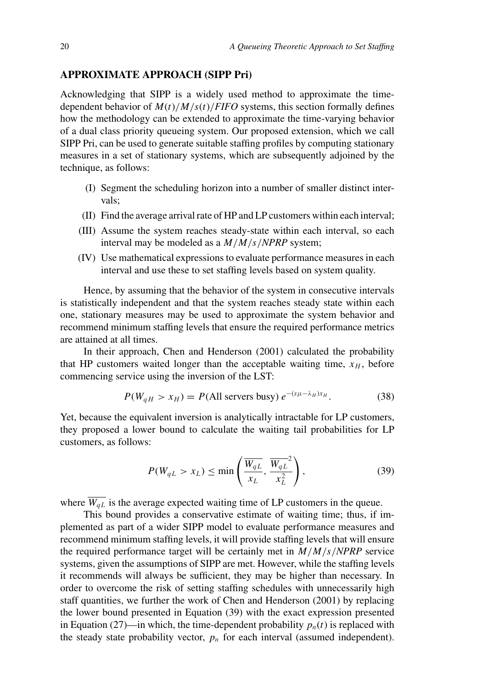## **APPROXIMATE APPROACH (SIPP Pri)**

Acknowledging that SIPP is a widely used method to approximate the timedependent behavior of  $M(t)/M/s(t)/FIFO$  systems, this section formally defines how the methodology can be extended to approximate the time-varying behavior of a dual class priority queueing system. Our proposed extension, which we call SIPP Pri, can be used to generate suitable staffing profiles by computing stationary measures in a set of stationary systems, which are subsequently adjoined by the technique, as follows:

- (I) Segment the scheduling horizon into a number of smaller distinct intervals;
- (II) Find the average arrival rate of HP and LP customers within each interval;
- (III) Assume the system reaches steady-state within each interval, so each interval may be modeled as a *M/M/s/NPRP* system;
- (IV) Use mathematical expressions to evaluate performance measures in each interval and use these to set staffing levels based on system quality.

Hence, by assuming that the behavior of the system in consecutive intervals is statistically independent and that the system reaches steady state within each one, stationary measures may be used to approximate the system behavior and recommend minimum staffing levels that ensure the required performance metrics are attained at all times.

In their approach, Chen and Henderson (2001) calculated the probability that HP customers waited longer than the acceptable waiting time,  $x_H$ , before commencing service using the inversion of the LST:

$$
P(W_{qH} > x_H) = P(\text{All servers busy}) e^{-(s\mu - \lambda_H)x_H}.
$$
 (38)

Yet, because the equivalent inversion is analytically intractable for LP customers, they proposed a lower bound to calculate the waiting tail probabilities for LP customers, as follows:

$$
P(W_{qL} > x_L) \le \min\left(\frac{\overline{W_{qL}}}{x_L}, \frac{\overline{W_{qL}}^2}{x_L^2}\right),\tag{39}
$$

where  $\overline{W_{qL}}$  is the average expected waiting time of LP customers in the queue.

This bound provides a conservative estimate of waiting time; thus, if implemented as part of a wider SIPP model to evaluate performance measures and recommend minimum staffing levels, it will provide staffing levels that will ensure the required performance target will be certainly met in *M/M/s/NPRP* service systems, given the assumptions of SIPP are met. However, while the staffing levels it recommends will always be sufficient, they may be higher than necessary. In order to overcome the risk of setting staffing schedules with unnecessarily high staff quantities, we further the work of Chen and Henderson (2001) by replacing the lower bound presented in Equation (39) with the exact expression presented in Equation (27)—in which, the time-dependent probability  $p_n(t)$  is replaced with the steady state probability vector,  $p_n$  for each interval (assumed independent).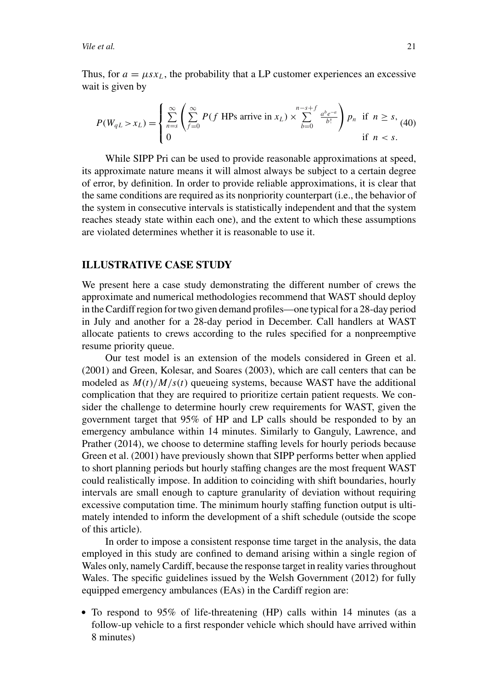Thus, for  $a = \mu s x_L$ , the probability that a LP customer experiences an excessive wait is given by

$$
P(W_{qL} > x_L) = \begin{cases} \sum_{n=s}^{\infty} \left( \sum_{f=0}^{\infty} P(f \text{ HPs arrive in } x_L) \times \sum_{b=0}^{n-s+f} \frac{a^b e^{-a}}{b!} \right) p_n & \text{if } n \ge s, \ (40) \\ 0 & \text{if } n < s. \end{cases}
$$

While SIPP Pri can be used to provide reasonable approximations at speed, its approximate nature means it will almost always be subject to a certain degree of error, by definition. In order to provide reliable approximations, it is clear that the same conditions are required as its nonpriority counterpart (i.e., the behavior of the system in consecutive intervals is statistically independent and that the system reaches steady state within each one), and the extent to which these assumptions are violated determines whether it is reasonable to use it.

# **ILLUSTRATIVE CASE STUDY**

We present here a case study demonstrating the different number of crews the approximate and numerical methodologies recommend that WAST should deploy in the Cardiff region for two given demand profiles—one typical for a 28-day period in July and another for a 28-day period in December. Call handlers at WAST allocate patients to crews according to the rules specified for a nonpreemptive resume priority queue.

Our test model is an extension of the models considered in Green et al. (2001) and Green, Kolesar, and Soares (2003), which are call centers that can be modeled as  $M(t)/M/s(t)$  queueing systems, because WAST have the additional complication that they are required to prioritize certain patient requests. We consider the challenge to determine hourly crew requirements for WAST, given the government target that 95% of HP and LP calls should be responded to by an emergency ambulance within 14 minutes. Similarly to Ganguly, Lawrence, and Prather (2014), we choose to determine staffing levels for hourly periods because Green et al. (2001) have previously shown that SIPP performs better when applied to short planning periods but hourly staffing changes are the most frequent WAST could realistically impose. In addition to coinciding with shift boundaries, hourly intervals are small enough to capture granularity of deviation without requiring excessive computation time. The minimum hourly staffing function output is ultimately intended to inform the development of a shift schedule (outside the scope of this article).

In order to impose a consistent response time target in the analysis, the data employed in this study are confined to demand arising within a single region of Wales only, namely Cardiff, because the response target in reality varies throughout Wales. The specific guidelines issued by the Welsh Government (2012) for fully equipped emergency ambulances (EAs) in the Cardiff region are:

- To respond to 95% of life-threatening (HP) calls within 14 minutes (as a follow-up vehicle to a first responder vehicle which should have arrived within 8 minutes)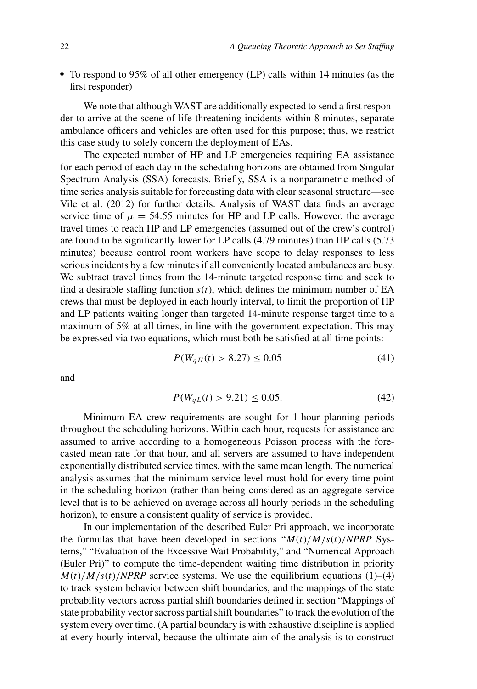- To respond to 95% of all other emergency (LP) calls within 14 minutes (as the first responder)

We note that although WAST are additionally expected to send a first responder to arrive at the scene of life-threatening incidents within 8 minutes, separate ambulance officers and vehicles are often used for this purpose; thus, we restrict this case study to solely concern the deployment of EAs.

The expected number of HP and LP emergencies requiring EA assistance for each period of each day in the scheduling horizons are obtained from Singular Spectrum Analysis (SSA) forecasts. Briefly, SSA is a nonparametric method of time series analysis suitable for forecasting data with clear seasonal structure—see Vile et al. (2012) for further details. Analysis of WAST data finds an average service time of  $\mu = 54.55$  minutes for HP and LP calls. However, the average travel times to reach HP and LP emergencies (assumed out of the crew's control) are found to be significantly lower for LP calls (4.79 minutes) than HP calls (5.73 minutes) because control room workers have scope to delay responses to less serious incidents by a few minutes if all conveniently located ambulances are busy. We subtract travel times from the 14-minute targeted response time and seek to find a desirable staffing function  $s(t)$ , which defines the minimum number of EA crews that must be deployed in each hourly interval, to limit the proportion of HP and LP patients waiting longer than targeted 14-minute response target time to a maximum of 5% at all times, in line with the government expectation. This may be expressed via two equations, which must both be satisfied at all time points:

$$
P(W_{qH}(t) > 8.27) \le 0.05\tag{41}
$$

and

$$
P(W_{qL}(t) > 9.21) \le 0.05. \tag{42}
$$

Minimum EA crew requirements are sought for 1-hour planning periods throughout the scheduling horizons. Within each hour, requests for assistance are assumed to arrive according to a homogeneous Poisson process with the forecasted mean rate for that hour, and all servers are assumed to have independent exponentially distributed service times, with the same mean length. The numerical analysis assumes that the minimum service level must hold for every time point in the scheduling horizon (rather than being considered as an aggregate service level that is to be achieved on average across all hourly periods in the scheduling horizon), to ensure a consistent quality of service is provided.

In our implementation of the described Euler Pri approach, we incorporate the formulas that have been developed in sections " $M(t)/M/s(t)/NPRP$  Systems," "Evaluation of the Excessive Wait Probability," and "Numerical Approach (Euler Pri)" to compute the time-dependent waiting time distribution in priority  $M(t)/M/s(t)/NPRP$  service systems. We use the equilibrium equations (1)–(4) to track system behavior between shift boundaries, and the mappings of the state probability vectors across partial shift boundaries defined in section "Mappings of state probability vector sacross partial shift boundaries" to track the evolution of the system every over time. (A partial boundary is with exhaustive discipline is applied at every hourly interval, because the ultimate aim of the analysis is to construct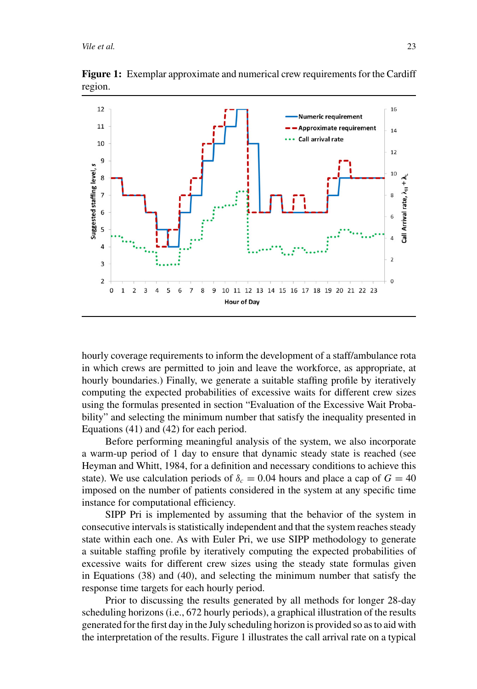**Figure 1:** Exemplar approximate and numerical crew requirements for the Cardiff region.



hourly coverage requirements to inform the development of a staff/ambulance rota in which crews are permitted to join and leave the workforce, as appropriate, at hourly boundaries.) Finally, we generate a suitable staffing profile by iteratively computing the expected probabilities of excessive waits for different crew sizes using the formulas presented in section "Evaluation of the Excessive Wait Probability" and selecting the minimum number that satisfy the inequality presented in Equations (41) and (42) for each period.

Before performing meaningful analysis of the system, we also incorporate a warm-up period of 1 day to ensure that dynamic steady state is reached (see Heyman and Whitt, 1984, for a definition and necessary conditions to achieve this state). We use calculation periods of  $\delta_c = 0.04$  hours and place a cap of  $G = 40$ imposed on the number of patients considered in the system at any specific time instance for computational efficiency.

SIPP Pri is implemented by assuming that the behavior of the system in consecutive intervals is statistically independent and that the system reaches steady state within each one. As with Euler Pri, we use SIPP methodology to generate a suitable staffing profile by iteratively computing the expected probabilities of excessive waits for different crew sizes using the steady state formulas given in Equations (38) and (40), and selecting the minimum number that satisfy the response time targets for each hourly period.

Prior to discussing the results generated by all methods for longer 28-day scheduling horizons (i.e., 672 hourly periods), a graphical illustration of the results generated for the first day in the July scheduling horizon is provided so as to aid with the interpretation of the results. Figure 1 illustrates the call arrival rate on a typical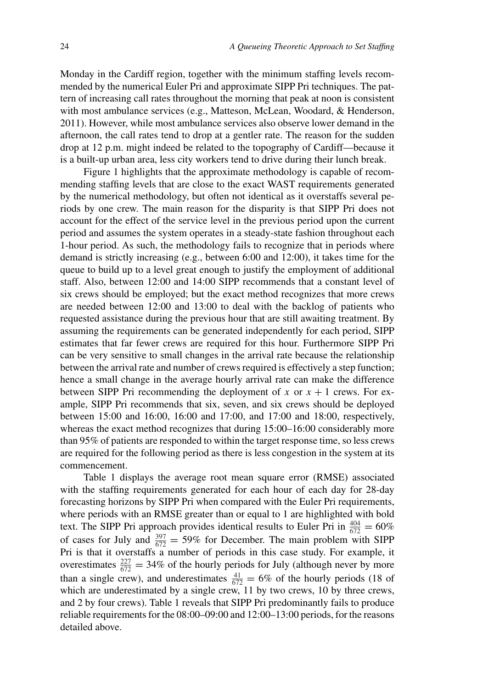Monday in the Cardiff region, together with the minimum staffing levels recommended by the numerical Euler Pri and approximate SIPP Pri techniques. The pattern of increasing call rates throughout the morning that peak at noon is consistent with most ambulance services (e.g., Matteson, McLean, Woodard, & Henderson, 2011). However, while most ambulance services also observe lower demand in the afternoon, the call rates tend to drop at a gentler rate. The reason for the sudden drop at 12 p.m. might indeed be related to the topography of Cardiff—because it is a built-up urban area, less city workers tend to drive during their lunch break.

Figure 1 highlights that the approximate methodology is capable of recommending staffing levels that are close to the exact WAST requirements generated by the numerical methodology, but often not identical as it overstaffs several periods by one crew. The main reason for the disparity is that SIPP Pri does not account for the effect of the service level in the previous period upon the current period and assumes the system operates in a steady-state fashion throughout each 1-hour period. As such, the methodology fails to recognize that in periods where demand is strictly increasing (e.g., between 6:00 and 12:00), it takes time for the queue to build up to a level great enough to justify the employment of additional staff. Also, between 12:00 and 14:00 SIPP recommends that a constant level of six crews should be employed; but the exact method recognizes that more crews are needed between 12:00 and 13:00 to deal with the backlog of patients who requested assistance during the previous hour that are still awaiting treatment. By assuming the requirements can be generated independently for each period, SIPP estimates that far fewer crews are required for this hour. Furthermore SIPP Pri can be very sensitive to small changes in the arrival rate because the relationship between the arrival rate and number of crews required is effectively a step function; hence a small change in the average hourly arrival rate can make the difference between SIPP Pri recommending the deployment of  $x$  or  $x + 1$  crews. For example, SIPP Pri recommends that six, seven, and six crews should be deployed between 15:00 and 16:00, 16:00 and 17:00, and 17:00 and 18:00, respectively, whereas the exact method recognizes that during 15:00–16:00 considerably more than 95% of patients are responded to within the target response time, so less crews are required for the following period as there is less congestion in the system at its commencement.

Table 1 displays the average root mean square error (RMSE) associated with the staffing requirements generated for each hour of each day for 28-day forecasting horizons by SIPP Pri when compared with the Euler Pri requirements, where periods with an RMSE greater than or equal to 1 are highlighted with bold text. The SIPP Pri approach provides identical results to Euler Pri in  $\frac{404}{672} = 60\%$ of cases for July and  $\frac{397}{672} = 59\%$  for December. The main problem with SIPP Pri is that it overstaffs a number of periods in this case study. For example, it overestimates  $\frac{227}{672} = 34\%$  of the hourly periods for July (although never by more than a single crew), and underestimates  $\frac{41}{672} = 6\%$  of the hourly periods (18 of which are underestimated by a single crew, 11 by two crews, 10 by three crews, and 2 by four crews). Table 1 reveals that SIPP Pri predominantly fails to produce reliable requirements for the 08:00–09:00 and 12:00–13:00 periods, for the reasons detailed above.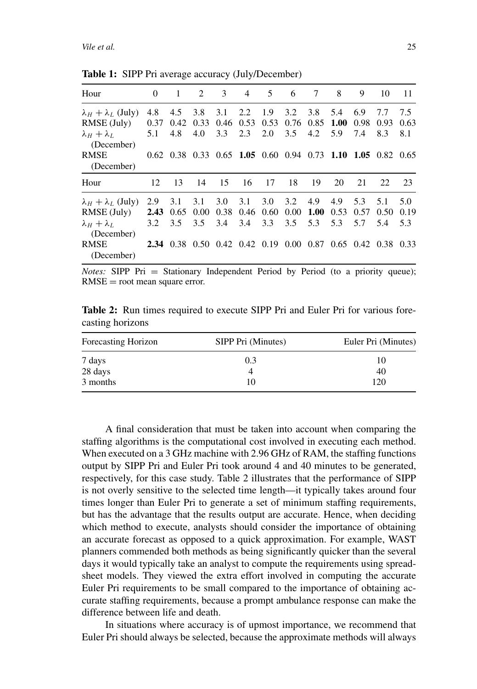| Hour                                  | 0    | 1                                                           | $\mathfrak{D}_{\mathfrak{p}}$ | 3    | 4    | 5    | 6                 | 7    | 8    | 9    | 10   | 11   |
|---------------------------------------|------|-------------------------------------------------------------|-------------------------------|------|------|------|-------------------|------|------|------|------|------|
| $\lambda_H + \lambda_L$ (July)        | 4.8  | 4.5                                                         | 3.8                           | 3.1  | 2.2  | 1.9  | 3.2               | 3.8  | 5.4  | 6.9  | 7.7  | 7.5  |
| RMSE (July)                           | 0.37 | 0.42                                                        | 0.33                          | 0.46 | 0.53 | 0.53 | 0.76              | 0.85 | 1.00 | 0.98 | 0.93 | 0.63 |
| $\lambda_H + \lambda_L$<br>(December) | 5.1  | 4.8                                                         | 4.0                           | 3.3  | 2.3  | 2.0  | $3.5^{\circ}$     | 4.2  | 5.9  | 7.4  | 8.3  | 8.1  |
| <b>RMSE</b>                           |      | 0.62 0.38 0.33 0.65 1.05 0.60 0.94 0.73 1.10 1.05 0.82 0.65 |                               |      |      |      |                   |      |      |      |      |      |
| (December)                            |      |                                                             |                               |      |      |      |                   |      |      |      |      |      |
| Hour                                  | 12   | 13                                                          | 14                            | 15   | 16   | 17   | 18                | 19   | 20   | 21   | 22   | 23   |
| $\lambda_H + \lambda_L$ (July)        | 2.9  | 3.1                                                         | 3.1                           | 3.0  | 3.1  | 3.0  | 3.2               | 4.9  | 4.9  | 5.3  | 5.1  | 5.0  |
| RMSE (July)                           | 2.43 | 0.65                                                        | 0.00                          | 0.38 | 0.46 | 0.60 | 0.00 <sub>1</sub> | 1.00 | 0.53 | 0.57 | 0.50 | 0.19 |
| $\lambda_H + \lambda_L$<br>(December) | 3.2  | 3.5                                                         | 3.5                           | 3.4  | 3.4  | 3.3  | 3.5               | 5.3  | 5.3  | 5.7  | 5.4  | 5.3  |
| <b>RMSE</b><br>(December)             |      | 2.34 0.38 0.50 0.42 0.42 0.19 0.00 0.87 0.65 0.42 0.38 0.33 |                               |      |      |      |                   |      |      |      |      |      |

**Table 1:** SIPP Pri average accuracy (July/December)

*Notes:* SIPP Pri = Stationary Independent Period by Period (to a priority queue);  $RMSE = root$  mean square error.

**Table 2:** Run times required to execute SIPP Pri and Euler Pri for various forecasting horizons

| Forecasting Horizon | SIPP Pri (Minutes) | Euler Pri (Minutes) |  |  |  |
|---------------------|--------------------|---------------------|--|--|--|
| 7 days              | 0.3                | 10                  |  |  |  |
| 28 days             |                    | 40                  |  |  |  |
| 3 months            | 10                 | 120                 |  |  |  |

A final consideration that must be taken into account when comparing the staffing algorithms is the computational cost involved in executing each method. When executed on a 3 GHz machine with 2.96 GHz of RAM, the staffing functions output by SIPP Pri and Euler Pri took around 4 and 40 minutes to be generated, respectively, for this case study. Table 2 illustrates that the performance of SIPP is not overly sensitive to the selected time length—it typically takes around four times longer than Euler Pri to generate a set of minimum staffing requirements, but has the advantage that the results output are accurate. Hence, when deciding which method to execute, analysts should consider the importance of obtaining an accurate forecast as opposed to a quick approximation. For example, WAST planners commended both methods as being significantly quicker than the several days it would typically take an analyst to compute the requirements using spreadsheet models. They viewed the extra effort involved in computing the accurate Euler Pri requirements to be small compared to the importance of obtaining accurate staffing requirements, because a prompt ambulance response can make the difference between life and death.

In situations where accuracy is of upmost importance, we recommend that Euler Pri should always be selected, because the approximate methods will always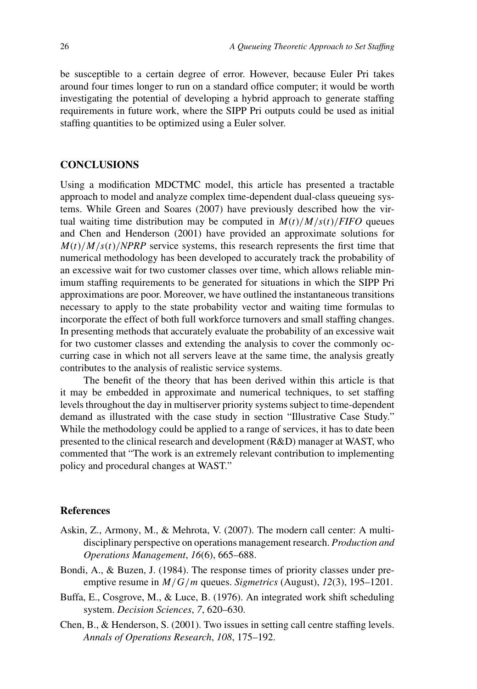be susceptible to a certain degree of error. However, because Euler Pri takes around four times longer to run on a standard office computer; it would be worth investigating the potential of developing a hybrid approach to generate staffing requirements in future work, where the SIPP Pri outputs could be used as initial staffing quantities to be optimized using a Euler solver.

# **CONCLUSIONS**

Using a modification MDCTMC model, this article has presented a tractable approach to model and analyze complex time-dependent dual-class queueing systems. While Green and Soares (2007) have previously described how the virtual waiting time distribution may be computed in  $M(t)/M/s(t)/FIFO$  queues and Chen and Henderson (2001) have provided an approximate solutions for  $M(t)/M/s(t)/NPRP$  service systems, this research represents the first time that numerical methodology has been developed to accurately track the probability of an excessive wait for two customer classes over time, which allows reliable minimum staffing requirements to be generated for situations in which the SIPP Pri approximations are poor. Moreover, we have outlined the instantaneous transitions necessary to apply to the state probability vector and waiting time formulas to incorporate the effect of both full workforce turnovers and small staffing changes. In presenting methods that accurately evaluate the probability of an excessive wait for two customer classes and extending the analysis to cover the commonly occurring case in which not all servers leave at the same time, the analysis greatly contributes to the analysis of realistic service systems.

The benefit of the theory that has been derived within this article is that it may be embedded in approximate and numerical techniques, to set staffing levels throughout the day in multiserver priority systems subject to time-dependent demand as illustrated with the case study in section "Illustrative Case Study." While the methodology could be applied to a range of services, it has to date been presented to the clinical research and development (R&D) manager at WAST, who commented that "The work is an extremely relevant contribution to implementing policy and procedural changes at WAST."

# **References**

- Askin, Z., Armony, M., & Mehrota, V. (2007). The modern call center: A multidisciplinary perspective on operations management research. *Production and Operations Management*, *16*(6), 665–688.
- Bondi, A., & Buzen, J. (1984). The response times of priority classes under preemptive resume in *M/G/m* queues. *Sigmetrics* (August), *12*(3), 195–1201.
- Buffa, E., Cosgrove, M., & Luce, B. (1976). An integrated work shift scheduling system. *Decision Sciences*, *7*, 620–630.
- Chen, B., & Henderson, S. (2001). Two issues in setting call centre staffing levels. *Annals of Operations Research*, *108*, 175–192.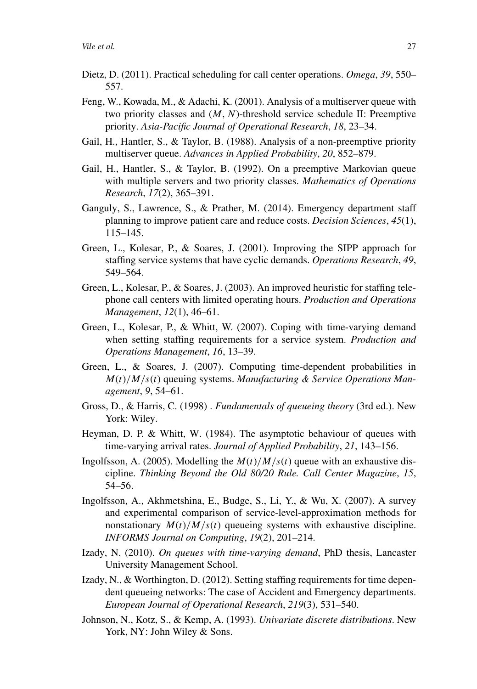- Dietz, D. (2011). Practical scheduling for call center operations. *Omega*, *39*, 550– 557.
- Feng, W., Kowada, M., & Adachi, K. (2001). Analysis of a multiserver queue with two priority classes and  $(M, N)$ -threshold service schedule II: Preemptive priority. *Asia-Pacific Journal of Operational Research*, *18*, 23–34.
- Gail, H., Hantler, S., & Taylor, B. (1988). Analysis of a non-preemptive priority multiserver queue. *Advances in Applied Probability*, *20*, 852–879.
- Gail, H., Hantler, S., & Taylor, B. (1992). On a preemptive Markovian queue with multiple servers and two priority classes. *Mathematics of Operations Research*, *17*(2), 365–391.
- Ganguly, S., Lawrence, S., & Prather, M. (2014). Emergency department staff planning to improve patient care and reduce costs. *Decision Sciences*, *45*(1), 115–145.
- Green, L., Kolesar, P., & Soares, J. (2001). Improving the SIPP approach for staffing service systems that have cyclic demands. *Operations Research*, *49*, 549–564.
- Green, L., Kolesar, P., & Soares, J. (2003). An improved heuristic for staffing telephone call centers with limited operating hours. *Production and Operations Management*, *12*(1), 46–61.
- Green, L., Kolesar, P., & Whitt, W. (2007). Coping with time-varying demand when setting staffing requirements for a service system. *Production and Operations Management*, *16*, 13–39.
- Green, L., & Soares, J. (2007). Computing time-dependent probabilities in *M*(*t*)*/M/s*(*t*) queuing systems. *Manufacturing & Service Operations Management*, *9*, 54–61.
- Gross, D., & Harris, C. (1998) . *Fundamentals of queueing theory* (3rd ed.). New York: Wiley.
- Heyman, D. P. & Whitt, W. (1984). The asymptotic behaviour of queues with time-varying arrival rates. *Journal of Applied Probability*, *21*, 143–156.
- Ingolfsson, A. (2005). Modelling the  $M(t)/M/s(t)$  queue with an exhaustive discipline. *Thinking Beyond the Old 80/20 Rule. Call Center Magazine*, *15*, 54–56.
- Ingolfsson, A., Akhmetshina, E., Budge, S., Li, Y., & Wu, X. (2007). A survey and experimental comparison of service-level-approximation methods for nonstationary  $M(t)/M/s(t)$  queueing systems with exhaustive discipline. *INFORMS Journal on Computing*, *19*(2), 201–214.
- Izady, N. (2010). *On queues with time-varying demand*, PhD thesis, Lancaster University Management School.
- Izady, N., & Worthington, D. (2012). Setting staffing requirements for time dependent queueing networks: The case of Accident and Emergency departments. *European Journal of Operational Research*, *219*(3), 531–540.
- Johnson, N., Kotz, S., & Kemp, A. (1993). *Univariate discrete distributions*. New York, NY: John Wiley & Sons.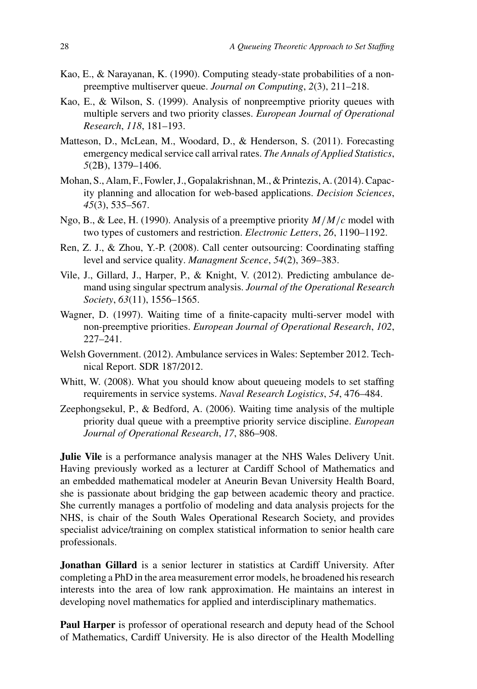- Kao, E., & Narayanan, K. (1990). Computing steady-state probabilities of a nonpreemptive multiserver queue. *Journal on Computing*, *2*(3), 211–218.
- Kao, E., & Wilson, S. (1999). Analysis of nonpreemptive priority queues with multiple servers and two priority classes. *European Journal of Operational Research*, *118*, 181–193.
- Matteson, D., McLean, M., Woodard, D., & Henderson, S. (2011). Forecasting emergency medical service call arrival rates. *The Annals of Applied Statistics*, *5*(2B), 1379–1406.
- Mohan, S., Alam, F., Fowler, J., Gopalakrishnan, M., & Printezis, A. (2014). Capacity planning and allocation for web-based applications. *Decision Sciences*, *45*(3), 535–567.
- Ngo, B., & Lee, H. (1990). Analysis of a preemptive priority *M/M/c* model with two types of customers and restriction. *Electronic Letters*, *26*, 1190–1192.
- Ren, Z. J., & Zhou, Y.-P. (2008). Call center outsourcing: Coordinating staffing level and service quality. *Managment Scence*, *54*(2), 369–383.
- Vile, J., Gillard, J., Harper, P., & Knight, V. (2012). Predicting ambulance demand using singular spectrum analysis. *Journal of the Operational Research Society*, *63*(11), 1556–1565.
- Wagner, D. (1997). Waiting time of a finite-capacity multi-server model with non-preemptive priorities. *European Journal of Operational Research*, *102*, 227–241.
- Welsh Government. (2012). Ambulance services in Wales: September 2012. Technical Report. SDR 187/2012.
- Whitt, W. (2008). What you should know about queueing models to set staffing requirements in service systems. *Naval Research Logistics*, *54*, 476–484.
- Zeephongsekul, P., & Bedford, A. (2006). Waiting time analysis of the multiple priority dual queue with a preemptive priority service discipline. *European Journal of Operational Research*, *17*, 886–908.

**Julie Vile** is a performance analysis manager at the NHS Wales Delivery Unit. Having previously worked as a lecturer at Cardiff School of Mathematics and an embedded mathematical modeler at Aneurin Bevan University Health Board, she is passionate about bridging the gap between academic theory and practice. She currently manages a portfolio of modeling and data analysis projects for the NHS, is chair of the South Wales Operational Research Society, and provides specialist advice/training on complex statistical information to senior health care professionals.

**Jonathan Gillard** is a senior lecturer in statistics at Cardiff University. After completing a PhD in the area measurement error models, he broadened his research interests into the area of low rank approximation. He maintains an interest in developing novel mathematics for applied and interdisciplinary mathematics.

Paul Harper is professor of operational research and deputy head of the School of Mathematics, Cardiff University. He is also director of the Health Modelling